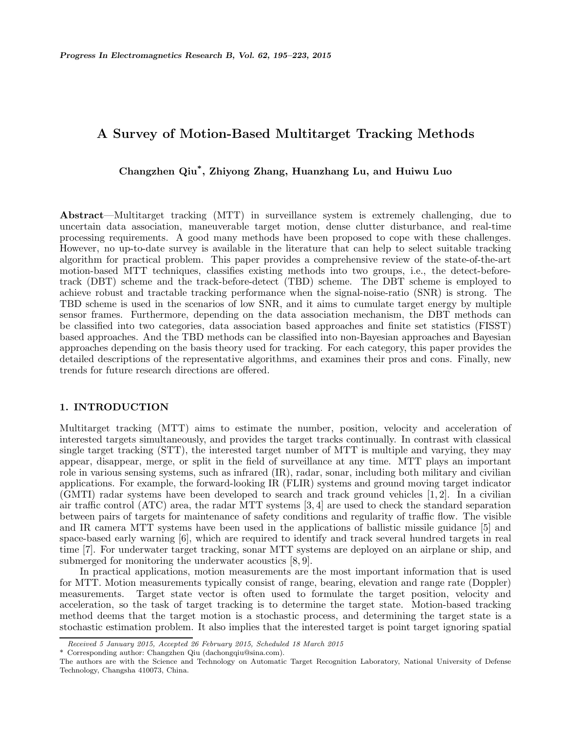# **A Survey of Motion-Based Multitarget Tracking Methods**

# **Changzhen Qiu\*, Zhiyong Zhang, Huanzhang Lu, and Huiwu Luo**

**Abstract**—Multitarget tracking (MTT) in surveillance system is extremely challenging, due to uncertain data association, maneuverable target motion, dense clutter disturbance, and real-time processing requirements. A good many methods have been proposed to cope with these challenges. However, no up-to-date survey is available in the literature that can help to select suitable tracking algorithm for practical problem. This paper provides a comprehensive review of the state-of-the-art motion-based MTT techniques, classifies existing methods into two groups, i.e., the detect-beforetrack (DBT) scheme and the track-before-detect (TBD) scheme. The DBT scheme is employed to achieve robust and tractable tracking performance when the signal-noise-ratio (SNR) is strong. The TBD scheme is used in the scenarios of low SNR, and it aims to cumulate target energy by multiple sensor frames. Furthermore, depending on the data association mechanism, the DBT methods can be classified into two categories, data association based approaches and finite set statistics (FISST) based approaches. And the TBD methods can be classified into non-Bayesian approaches and Bayesian approaches depending on the basis theory used for tracking. For each category, this paper provides the detailed descriptions of the representative algorithms, and examines their pros and cons. Finally, new trends for future research directions are offered.

# **1. INTRODUCTION**

Multitarget tracking (MTT) aims to estimate the number, position, velocity and acceleration of interested targets simultaneously, and provides the target tracks continually. In contrast with classical single target tracking (STT), the interested target number of MTT is multiple and varying, they may appear, disappear, merge, or split in the field of surveillance at any time. MTT plays an important role in various sensing systems, such as infrared (IR), radar, sonar, including both military and civilian applications. For example, the forward-looking IR (FLIR) systems and ground moving target indicator (GMTI) radar systems have been developed to search and track ground vehicles [1, 2]. In a civilian air traffic control (ATC) area, the radar MTT systems [3, 4] are used to check the standard separation between pairs of targets for maintenance of safety conditions and regularity of traffic flow. The visible and IR camera MTT systems have been used in the applications of ballistic missile guidance [5] and space-based early warning [6], which are required to identify and track several hundred targets in real time [7]. For underwater target tracking, sonar MTT systems are deployed on an airplane or ship, and submerged for monitoring the underwater acoustics [8, 9].

In practical applications, motion measurements are the most important information that is used for MTT. Motion measurements typically consist of range, bearing, elevation and range rate (Doppler) measurements. Target state vector is often used to formulate the target position, velocity and acceleration, so the task of target tracking is to determine the target state. Motion-based tracking method deems that the target motion is a stochastic process, and determining the target state is a stochastic estimation problem. It also implies that the interested target is point target ignoring spatial

\* Corresponding author: Changzhen Qiu (dachongqiu@sina.com).

*Received 5 January 2015, Accepted 26 February 2015, Scheduled 18 March 2015*

The authors are with the Science and Technology on Automatic Target Recognition Laboratory, National University of Defense Technology, Changsha 410073, China.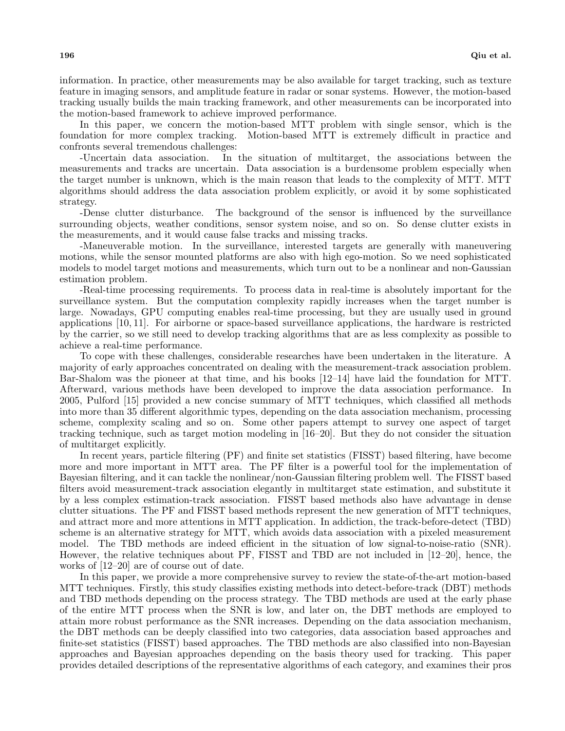information. In practice, other measurements may be also available for target tracking, such as texture feature in imaging sensors, and amplitude feature in radar or sonar systems. However, the motion-based tracking usually builds the main tracking framework, and other measurements can be incorporated into the motion-based framework to achieve improved performance.

In this paper, we concern the motion-based MTT problem with single sensor, which is the foundation for more complex tracking. Motion-based MTT is extremely difficult in practice and confronts several tremendous challenges:

-Uncertain data association. In the situation of multitarget, the associations between the measurements and tracks are uncertain. Data association is a burdensome problem especially when the target number is unknown, which is the main reason that leads to the complexity of MTT. MTT algorithms should address the data association problem explicitly, or avoid it by some sophisticated strategy.

-Dense clutter disturbance. The background of the sensor is influenced by the surveillance surrounding objects, weather conditions, sensor system noise, and so on. So dense clutter exists in the measurements, and it would cause false tracks and missing tracks.

-Maneuverable motion. In the surveillance, interested targets are generally with maneuvering motions, while the sensor mounted platforms are also with high ego-motion. So we need sophisticated models to model target motions and measurements, which turn out to be a nonlinear and non-Gaussian estimation problem.

-Real-time processing requirements. To process data in real-time is absolutely important for the surveillance system. But the computation complexity rapidly increases when the target number is large. Nowadays, GPU computing enables real-time processing, but they are usually used in ground applications [10, 11]. For airborne or space-based surveillance applications, the hardware is restricted by the carrier, so we still need to develop tracking algorithms that are as less complexity as possible to achieve a real-time performance.

To cope with these challenges, considerable researches have been undertaken in the literature. A majority of early approaches concentrated on dealing with the measurement-track association problem. Bar-Shalom was the pioneer at that time, and his books [12–14] have laid the foundation for MTT. Afterward, various methods have been developed to improve the data association performance. In 2005, Pulford [15] provided a new concise summary of MTT techniques, which classified all methods into more than 35 different algorithmic types, depending on the data association mechanism, processing scheme, complexity scaling and so on. Some other papers attempt to survey one aspect of target tracking technique, such as target motion modeling in [16–20]. But they do not consider the situation of multitarget explicitly.

In recent years, particle filtering (PF) and finite set statistics (FISST) based filtering, have become more and more important in MTT area. The PF filter is a powerful tool for the implementation of Bayesian filtering, and it can tackle the nonlinear/non-Gaussian filtering problem well. The FISST based filters avoid measurement-track association elegantly in multitarget state estimation, and substitute it by a less complex estimation-track association. FISST based methods also have advantage in dense clutter situations. The PF and FISST based methods represent the new generation of MTT techniques, and attract more and more attentions in MTT application. In addiction, the track-before-detect (TBD) scheme is an alternative strategy for MTT, which avoids data association with a pixeled measurement model. The TBD methods are indeed efficient in the situation of low signal-to-noise-ratio (SNR). However, the relative techniques about PF, FISST and TBD are not included in [12–20], hence, the works of [12–20] are of course out of date.

In this paper, we provide a more comprehensive survey to review the state-of-the-art motion-based MTT techniques. Firstly, this study classifies existing methods into detect-before-track (DBT) methods and TBD methods depending on the process strategy. The TBD methods are used at the early phase of the entire MTT process when the SNR is low, and later on, the DBT methods are employed to attain more robust performance as the SNR increases. Depending on the data association mechanism, the DBT methods can be deeply classified into two categories, data association based approaches and finite-set statistics (FISST) based approaches. The TBD methods are also classified into non-Bayesian approaches and Bayesian approaches depending on the basis theory used for tracking. This paper provides detailed descriptions of the representative algorithms of each category, and examines their pros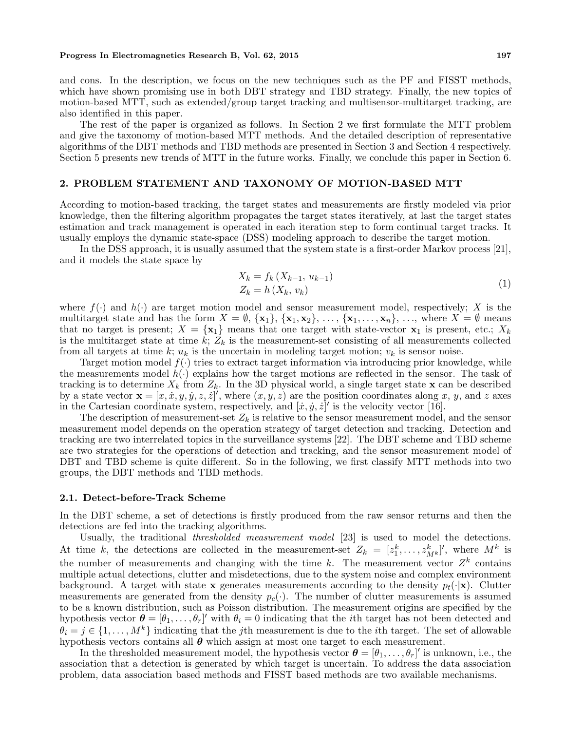and cons. In the description, we focus on the new techniques such as the PF and FISST methods, which have shown promising use in both DBT strategy and TBD strategy. Finally, the new topics of motion-based MTT, such as extended/group target tracking and multisensor-multitarget tracking, are also identified in this paper.

The rest of the paper is organized as follows. In Section 2 we first formulate the MTT problem and give the taxonomy of motion-based MTT methods. And the detailed description of representative algorithms of the DBT methods and TBD methods are presented in Section 3 and Section 4 respectively. Section 5 presents new trends of MTT in the future works. Finally, we conclude this paper in Section 6.

# **2. PROBLEM STATEMENT AND TAXONOMY OF MOTION-BASED MTT**

According to motion-based tracking, the target states and measurements are firstly modeled via prior knowledge, then the filtering algorithm propagates the target states iteratively, at last the target states estimation and track management is operated in each iteration step to form continual target tracks. It usually employs the dynamic state-space (DSS) modeling approach to describe the target motion.

In the DSS approach, it is usually assumed that the system state is a first-order Markov process [21], and it models the state space by

$$
X_k = f_k(X_{k-1}, u_{k-1})
$$
  
\n
$$
Z_k = h(X_k, v_k)
$$
\n(1)

where  $f(\cdot)$  and  $h(\cdot)$  are target motion model and sensor measurement model, respectively; X is the multitarget state and has the form  $X = \emptyset$ ,  $\{\mathbf{x}_1\}$ ,  $\{\mathbf{x}_1, \mathbf{x}_2\}$ , ...,  $\{\mathbf{x}_1, \ldots, \mathbf{x}_n\}$ , ..., where  $X = \emptyset$  means that no target is present;  $X = {\mathbf{x}_1}$  means that one target with state-vector  $\mathbf{x}_1$  is present, etc.;  $X_k$ is the multitarget state at time  $\hat{k}$ ;  $\hat{Z}_k$  is the measurement-set consisting of all measurements collected from all targets at time k;  $u_k$  is the uncertain in modeling target motion;  $v_k$  is sensor noise.

Target motion model  $f(\cdot)$  tries to extract target information via introducing prior knowledge, while the measurements model  $h(\cdot)$  explains how the target motions are reflected in the sensor. The task of tracking is to determine  $X_k$  from  $Z_k$ . In the 3D physical world, a single target state **x** can be described by a state vector  $\mathbf{x} = [x, \dot{x}, y, \dot{y}, z, \dot{z}]'$ , where  $(x, y, z)$  are the position coordinates along x, y, and z axes in the Cartesian coordinate system, respectively, and  $[\dot{x}, \dot{y}, \dot{z}]'$  is the velocity vector [16].

The description of measurement-set  $Z_k$  is relative to the sensor measurement model, and the sensor measurement model depends on the operation strategy of target detection and tracking. Detection and tracking are two interrelated topics in the surveillance systems [22]. The DBT scheme and TBD scheme are two strategies for the operations of detection and tracking, and the sensor measurement model of DBT and TBD scheme is quite different. So in the following, we first classify MTT methods into two groups, the DBT methods and TBD methods.

# **2.1. Detect-before-Track Scheme**

In the DBT scheme, a set of detections is firstly produced from the raw sensor returns and then the detections are fed into the tracking algorithms.

Usually, the traditional *thresholded measurement model* [23] is used to model the detections. At time k, the detections are collected in the measurement-set  $Z_k = [z_1^k, \ldots, z_{M^k}^k]'$ , where  $M^k$  is the number of measurements and changing with the time k. The measurement vector  $Z^k$  contains multiple actual detections, clutter and misdetections, due to the system noise and complex environment background. A target with state **x** generates measurements according to the density  $p_t(\cdot|\mathbf{x})$ . Clutter measurements are generated from the density  $p_c(\cdot)$ . The number of clutter measurements is assumed to be a known distribution, such as Poisson distribution. The measurement origins are specified by the hypothesis vector  $\boldsymbol{\theta} = [\theta_1, \dots, \theta_r]'$  with  $\theta_i = 0$  indicating that the *i*th target has not been detected and  $\hat{\theta}_i = j \in \{1, \ldots, M^k\}$  indicating that the jth measurement is due to the *i*th target. The set of allowable hypothesis vectors contains all  $\theta$  which assign at most one target to each measurement.

In the thresholded measurement model, the hypothesis vector  $\boldsymbol{\theta} = [\theta_1, \dots, \theta_r]'$  is unknown, i.e., the association that a detection is generated by which target is uncertain. To address the data association problem, data association based methods and FISST based methods are two available mechanisms.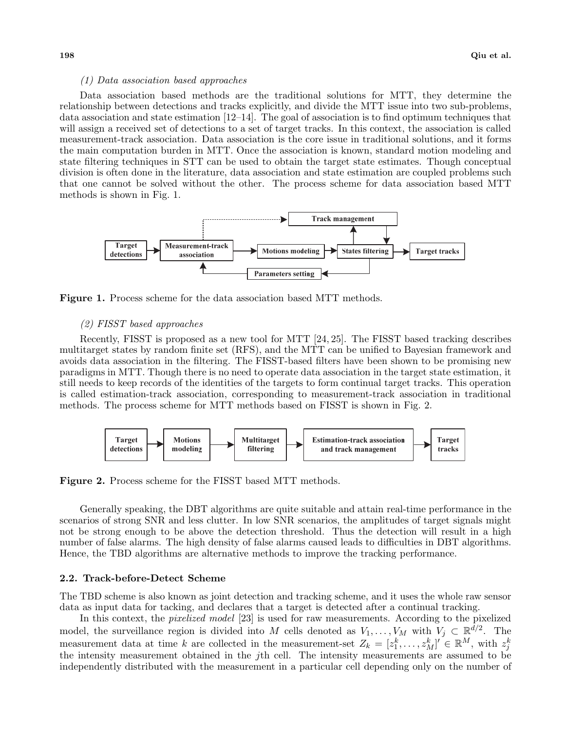## *(1) Data association based approaches*

Data association based methods are the traditional solutions for MTT, they determine the relationship between detections and tracks explicitly, and divide the MTT issue into two sub-problems, data association and state estimation [12–14]. The goal of association is to find optimum techniques that will assign a received set of detections to a set of target tracks. In this context, the association is called measurement-track association. Data association is the core issue in traditional solutions, and it forms the main computation burden in MTT. Once the association is known, standard motion modeling and state filtering techniques in STT can be used to obtain the target state estimates. Though conceptual division is often done in the literature, data association and state estimation are coupled problems such that one cannot be solved without the other. The process scheme for data association based MTT methods is shown in Fig. 1.



**Figure 1.** Process scheme for the data association based MTT methods.

# *(2) FISST based approaches*

Recently, FISST is proposed as a new tool for MTT [24, 25]. The FISST based tracking describes multitarget states by random finite set (RFS), and the MTT can be unified to Bayesian framework and avoids data association in the filtering. The FISST-based filters have been shown to be promising new paradigms in MTT. Though there is no need to operate data association in the target state estimation, it still needs to keep records of the identities of the targets to form continual target tracks. This operation is called estimation-track association, corresponding to measurement-track association in traditional methods. The process scheme for MTT methods based on FISST is shown in Fig. 2.



**Figure 2.** Process scheme for the FISST based MTT methods.

Generally speaking, the DBT algorithms are quite suitable and attain real-time performance in the scenarios of strong SNR and less clutter. In low SNR scenarios, the amplitudes of target signals might not be strong enough to be above the detection threshold. Thus the detection will result in a high number of false alarms. The high density of false alarms caused leads to difficulties in DBT algorithms. Hence, the TBD algorithms are alternative methods to improve the tracking performance.

## **2.2. Track-before-Detect Scheme**

The TBD scheme is also known as joint detection and tracking scheme, and it uses the whole raw sensor data as input data for tacking, and declares that a target is detected after a continual tracking.

In this context, the *pixelized model* [23] is used for raw measurements. According to the pixelized model, the surveillance region is divided into M cells denoted as  $V_1,\ldots,V_M$  with  $V_j \subset \mathbb{R}^{d/2}$ . The measurement data at time k are collected in the measurement-set  $Z_k = [z_1^k, \ldots, z_M^k]' \in \mathbb{R}^M$ , with  $z_j^k$ the intensity measurement obtained in the jth cell. The intensity measurements are assumed to be independently distributed with the measurement in a particular cell depending only on the number of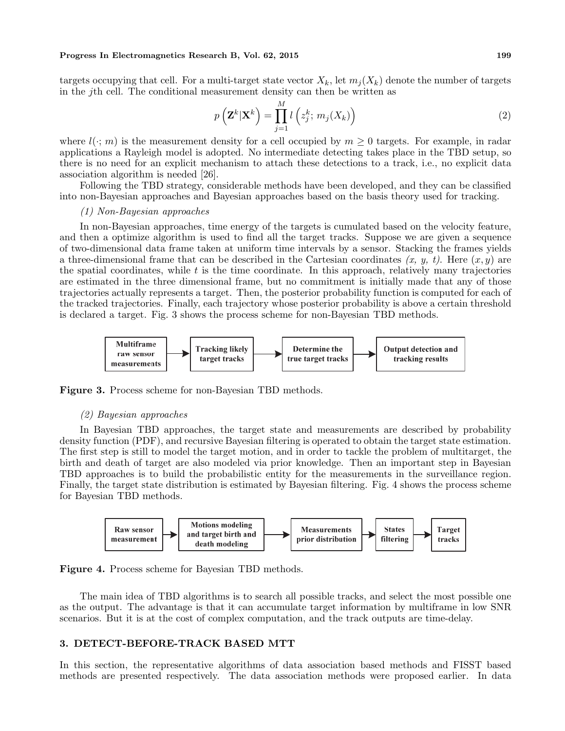targets occupying that cell. For a multi-target state vector  $X_k$ , let  $m_j(X_k)$  denote the number of targets in the jth cell. The conditional measurement density can then be written as

$$
p\left(\mathbf{Z}^{k}|\mathbf{X}^{k}\right) = \prod_{j=1}^{M} l\left(z_{j}^{k};\, m_{j}(X_{k})\right)
$$
\n<sup>(2)</sup>

where  $l(\cdot; m)$  is the measurement density for a cell occupied by  $m \geq 0$  targets. For example, in radar applications a Rayleigh model is adopted. No intermediate detecting takes place in the TBD setup, so there is no need for an explicit mechanism to attach these detections to a track, i.e., no explicit data association algorithm is needed [26].

Following the TBD strategy, considerable methods have been developed, and they can be classified into non-Bayesian approaches and Bayesian approaches based on the basis theory used for tracking.

## *(1) Non-Bayesian approaches*

In non-Bayesian approaches, time energy of the targets is cumulated based on the velocity feature, and then a optimize algorithm is used to find all the target tracks. Suppose we are given a sequence of two-dimensional data frame taken at uniform time intervals by a sensor. Stacking the frames yields a three-dimensional frame that can be described in the Cartesian coordinates  $(x, y, t)$ . Here  $(x, y)$  are the spatial coordinates, while  $t$  is the time coordinate. In this approach, relatively many trajectories are estimated in the three dimensional frame, but no commitment is initially made that any of those trajectories actually represents a target. Then, the posterior probability function is computed for each of the tracked trajectories. Finally, each trajectory whose posterior probability is above a certain threshold is declared a target. Fig. 3 shows the process scheme for non-Bayesian TBD methods.



**Figure 3.** Process scheme for non-Bayesian TBD methods.

### *(2) Bayesian approaches*

In Bayesian TBD approaches, the target state and measurements are described by probability density function (PDF), and recursive Bayesian filtering is operated to obtain the target state estimation. The first step is still to model the target motion, and in order to tackle the problem of multitarget, the birth and death of target are also modeled via prior knowledge. Then an important step in Bayesian TBD approaches is to build the probabilistic entity for the measurements in the surveillance region. Finally, the target state distribution is estimated by Bayesian filtering. Fig. 4 shows the process scheme for Bayesian TBD methods.



**Figure 4.** Process scheme for Bayesian TBD methods.

The main idea of TBD algorithms is to search all possible tracks, and select the most possible one as the output. The advantage is that it can accumulate target information by multiframe in low SNR scenarios. But it is at the cost of complex computation, and the track outputs are time-delay.

## **3. DETECT-BEFORE-TRACK BASED MTT**

In this section, the representative algorithms of data association based methods and FISST based methods are presented respectively. The data association methods were proposed earlier. In data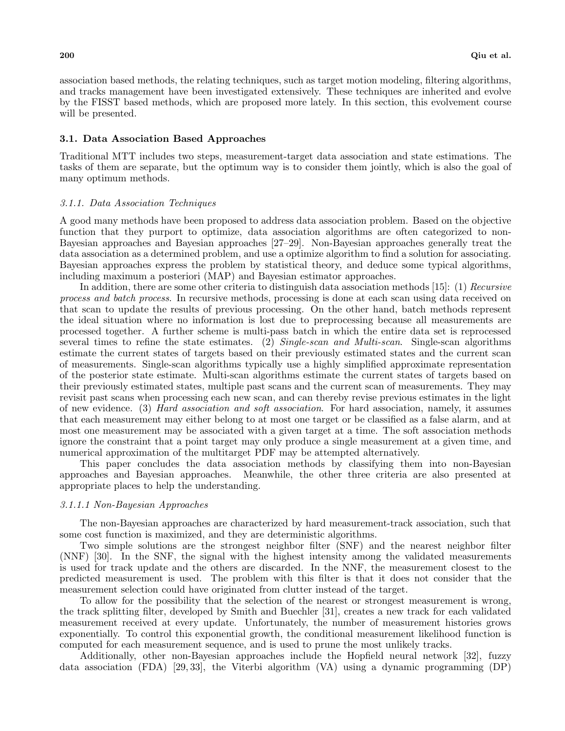association based methods, the relating techniques, such as target motion modeling, filtering algorithms, and tracks management have been investigated extensively. These techniques are inherited and evolve by the FISST based methods, which are proposed more lately. In this section, this evolvement course will be presented.

## **3.1. Data Association Based Approaches**

Traditional MTT includes two steps, measurement-target data association and state estimations. The tasks of them are separate, but the optimum way is to consider them jointly, which is also the goal of many optimum methods.

## *3.1.1. Data Association Techniques*

A good many methods have been proposed to address data association problem. Based on the objective function that they purport to optimize, data association algorithms are often categorized to non-Bayesian approaches and Bayesian approaches [27–29]. Non-Bayesian approaches generally treat the data association as a determined problem, and use a optimize algorithm to find a solution for associating. Bayesian approaches express the problem by statistical theory, and deduce some typical algorithms, including maximum a posteriori (MAP) and Bayesian estimator approaches.

In addition, there are some other criteria to distinguish data association methods [15]: (1) *Recursive process and batch process*. In recursive methods, processing is done at each scan using data received on that scan to update the results of previous processing. On the other hand, batch methods represent the ideal situation where no information is lost due to preprocessing because all measurements are processed together. A further scheme is multi-pass batch in which the entire data set is reprocessed several times to refine the state estimates. (2) *Single-scan and Multi-scan*. Single-scan algorithms estimate the current states of targets based on their previously estimated states and the current scan of measurements. Single-scan algorithms typically use a highly simplified approximate representation of the posterior state estimate. Multi-scan algorithms estimate the current states of targets based on their previously estimated states, multiple past scans and the current scan of measurements. They may revisit past scans when processing each new scan, and can thereby revise previous estimates in the light of new evidence. (3) *Hard association and soft association*. For hard association, namely, it assumes that each measurement may either belong to at most one target or be classified as a false alarm, and at most one measurement may be associated with a given target at a time. The soft association methods ignore the constraint that a point target may only produce a single measurement at a given time, and numerical approximation of the multitarget PDF may be attempted alternatively.

This paper concludes the data association methods by classifying them into non-Bayesian approaches and Bayesian approaches. Meanwhile, the other three criteria are also presented at appropriate places to help the understanding.

## *3.1.1.1 Non-Bayesian Approaches*

The non-Bayesian approaches are characterized by hard measurement-track association, such that some cost function is maximized, and they are deterministic algorithms.

Two simple solutions are the strongest neighbor filter (SNF) and the nearest neighbor filter (NNF) [30]. In the SNF, the signal with the highest intensity among the validated measurements is used for track update and the others are discarded. In the NNF, the measurement closest to the predicted measurement is used. The problem with this filter is that it does not consider that the measurement selection could have originated from clutter instead of the target.

To allow for the possibility that the selection of the nearest or strongest measurement is wrong, the track splitting filter, developed by Smith and Buechler [31], creates a new track for each validated measurement received at every update. Unfortunately, the number of measurement histories grows exponentially. To control this exponential growth, the conditional measurement likelihood function is computed for each measurement sequence, and is used to prune the most unlikely tracks.

Additionally, other non-Bayesian approaches include the Hopfield neural network [32], fuzzy data association (FDA) [29, 33], the Viterbi algorithm (VA) using a dynamic programming (DP)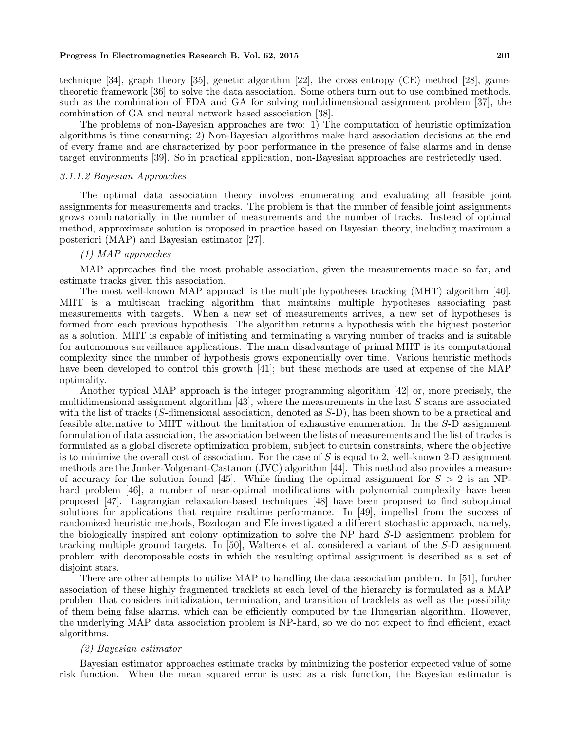technique [34], graph theory [35], genetic algorithm [22], the cross entropy (CE) method [28], gametheoretic framework [36] to solve the data association. Some others turn out to use combined methods, such as the combination of FDA and GA for solving multidimensional assignment problem [37], the combination of GA and neural network based association [38].

The problems of non-Bayesian approaches are two: 1) The computation of heuristic optimization algorithms is time consuming; 2) Non-Bayesian algorithms make hard association decisions at the end of every frame and are characterized by poor performance in the presence of false alarms and in dense target environments [39]. So in practical application, non-Bayesian approaches are restrictedly used.

## *3.1.1.2 Bayesian Approaches*

The optimal data association theory involves enumerating and evaluating all feasible joint assignments for measurements and tracks. The problem is that the number of feasible joint assignments grows combinatorially in the number of measurements and the number of tracks. Instead of optimal method, approximate solution is proposed in practice based on Bayesian theory, including maximum a posteriori (MAP) and Bayesian estimator [27].

# *(1) MAP approaches*

MAP approaches find the most probable association, given the measurements made so far, and estimate tracks given this association.

The most well-known MAP approach is the multiple hypotheses tracking (MHT) algorithm [40]. MHT is a multiscan tracking algorithm that maintains multiple hypotheses associating past measurements with targets. When a new set of measurements arrives, a new set of hypotheses is formed from each previous hypothesis. The algorithm returns a hypothesis with the highest posterior as a solution. MHT is capable of initiating and terminating a varying number of tracks and is suitable for autonomous surveillance applications. The main disadvantage of primal MHT is its computational complexity since the number of hypothesis grows exponentially over time. Various heuristic methods have been developed to control this growth [41]; but these methods are used at expense of the MAP optimality.

Another typical MAP approach is the integer programming algorithm [42] or, more precisely, the multidimensional assignment algorithm  $[43]$ , where the measurements in the last S scans are associated with the list of tracks (S-dimensional association, denoted as S-D), has been shown to be a practical and feasible alternative to MHT without the limitation of exhaustive enumeration. In the S-D assignment formulation of data association, the association between the lists of measurements and the list of tracks is formulated as a global discrete optimization problem, subject to curtain constraints, where the objective is to minimize the overall cost of association. For the case of  $S$  is equal to 2, well-known 2-D assignment methods are the Jonker-Volgenant-Castanon (JVC) algorithm [44]. This method also provides a measure of accuracy for the solution found [45]. While finding the optimal assignment for  $S > 2$  is an NPhard problem [46], a number of near-optimal modifications with polynomial complexity have been proposed [47]. Lagrangian relaxation-based techniques [48] have been proposed to find suboptimal solutions for applications that require realtime performance. In [49], impelled from the success of randomized heuristic methods, Bozdogan and Efe investigated a different stochastic approach, namely, the biologically inspired ant colony optimization to solve the NP hard S-D assignment problem for tracking multiple ground targets. In [50], Walteros et al. considered a variant of the S-D assignment problem with decomposable costs in which the resulting optimal assignment is described as a set of disjoint stars.

There are other attempts to utilize MAP to handling the data association problem. In [51], further association of these highly fragmented tracklets at each level of the hierarchy is formulated as a MAP problem that considers initialization, termination, and transition of tracklets as well as the possibility of them being false alarms, which can be efficiently computed by the Hungarian algorithm. However, the underlying MAP data association problem is NP-hard, so we do not expect to find efficient, exact algorithms.

# *(2) Bayesian estimator*

Bayesian estimator approaches estimate tracks by minimizing the posterior expected value of some risk function. When the mean squared error is used as a risk function, the Bayesian estimator is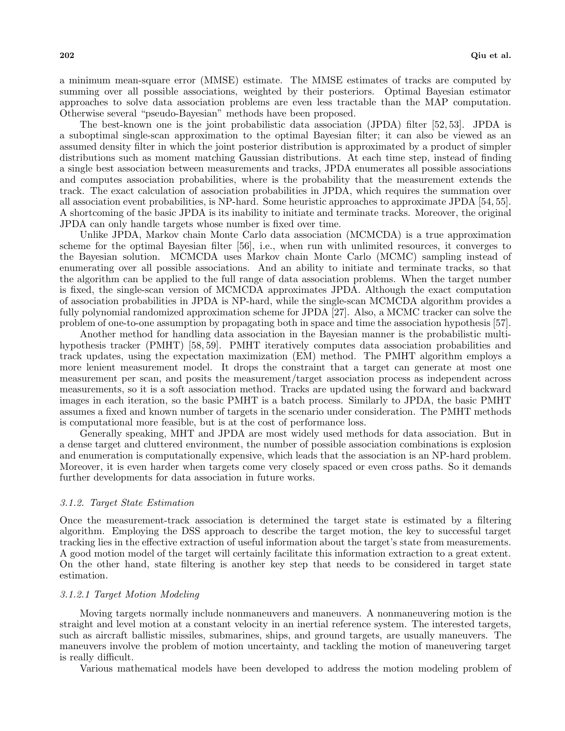a minimum mean-square error (MMSE) estimate. The MMSE estimates of tracks are computed by summing over all possible associations, weighted by their posteriors. Optimal Bayesian estimator approaches to solve data association problems are even less tractable than the MAP computation. Otherwise several "pseudo-Bayesian" methods have been proposed.

The best-known one is the joint probabilistic data association (JPDA) filter [52, 53]. JPDA is a suboptimal single-scan approximation to the optimal Bayesian filter; it can also be viewed as an assumed density filter in which the joint posterior distribution is approximated by a product of simpler distributions such as moment matching Gaussian distributions. At each time step, instead of finding a single best association between measurements and tracks, JPDA enumerates all possible associations and computes association probabilities, where is the probability that the measurement extends the track. The exact calculation of association probabilities in JPDA, which requires the summation over all association event probabilities, is NP-hard. Some heuristic approaches to approximate JPDA [54, 55]. A shortcoming of the basic JPDA is its inability to initiate and terminate tracks. Moreover, the original JPDA can only handle targets whose number is fixed over time.

Unlike JPDA, Markov chain Monte Carlo data association (MCMCDA) is a true approximation scheme for the optimal Bayesian filter [56], i.e., when run with unlimited resources, it converges to the Bayesian solution. MCMCDA uses Markov chain Monte Carlo (MCMC) sampling instead of enumerating over all possible associations. And an ability to initiate and terminate tracks, so that the algorithm can be applied to the full range of data association problems. When the target number is fixed, the single-scan version of MCMCDA approximates JPDA. Although the exact computation of association probabilities in JPDA is NP-hard, while the single-scan MCMCDA algorithm provides a fully polynomial randomized approximation scheme for JPDA [27]. Also, a MCMC tracker can solve the problem of one-to-one assumption by propagating both in space and time the association hypothesis [57].

Another method for handling data association in the Bayesian manner is the probabilistic multihypothesis tracker (PMHT) [58, 59]. PMHT iteratively computes data association probabilities and track updates, using the expectation maximization (EM) method. The PMHT algorithm employs a more lenient measurement model. It drops the constraint that a target can generate at most one measurement per scan, and posits the measurement/target association process as independent across measurements, so it is a soft association method. Tracks are updated using the forward and backward images in each iteration, so the basic PMHT is a batch process. Similarly to JPDA, the basic PMHT assumes a fixed and known number of targets in the scenario under consideration. The PMHT methods is computational more feasible, but is at the cost of performance loss.

Generally speaking, MHT and JPDA are most widely used methods for data association. But in a dense target and cluttered environment, the number of possible association combinations is explosion and enumeration is computationally expensive, which leads that the association is an NP-hard problem. Moreover, it is even harder when targets come very closely spaced or even cross paths. So it demands further developments for data association in future works.

# *3.1.2. Target State Estimation*

Once the measurement-track association is determined the target state is estimated by a filtering algorithm. Employing the DSS approach to describe the target motion, the key to successful target tracking lies in the effective extraction of useful information about the target's state from measurements. A good motion model of the target will certainly facilitate this information extraction to a great extent. On the other hand, state filtering is another key step that needs to be considered in target state estimation.

## *3.1.2.1 Target Motion Modeling*

Moving targets normally include nonmaneuvers and maneuvers. A nonmaneuvering motion is the straight and level motion at a constant velocity in an inertial reference system. The interested targets, such as aircraft ballistic missiles, submarines, ships, and ground targets, are usually maneuvers. The maneuvers involve the problem of motion uncertainty, and tackling the motion of maneuvering target is really difficult.

Various mathematical models have been developed to address the motion modeling problem of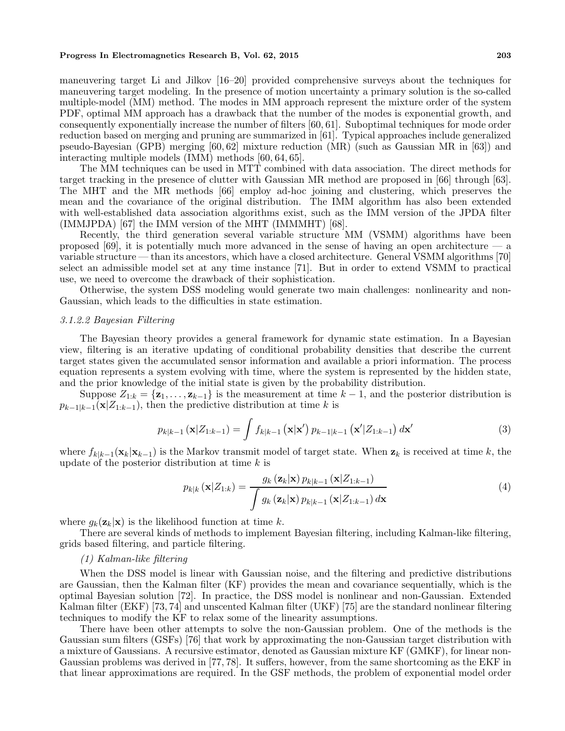maneuvering target Li and Jilkov [16–20] provided comprehensive surveys about the techniques for maneuvering target modeling. In the presence of motion uncertainty a primary solution is the so-called multiple-model (MM) method. The modes in MM approach represent the mixture order of the system PDF, optimal MM approach has a drawback that the number of the modes is exponential growth, and consequently exponentially increase the number of filters [60, 61]. Suboptimal techniques for mode order reduction based on merging and pruning are summarized in [61]. Typical approaches include generalized pseudo-Bayesian (GPB) merging [60, 62] mixture reduction (MR) (such as Gaussian MR in [63]) and interacting multiple models (IMM) methods [60, 64, 65].

The MM techniques can be used in MTT combined with data association. The direct methods for target tracking in the presence of clutter with Gaussian MR method are proposed in [66] through [63]. The MHT and the MR methods [66] employ ad-hoc joining and clustering, which preserves the mean and the covariance of the original distribution. The IMM algorithm has also been extended with well-established data association algorithms exist, such as the IMM version of the JPDA filter (IMMJPDA) [67] the IMM version of the MHT (IMMMHT) [68].

Recently, the third generation several variable structure MM (VSMM) algorithms have been proposed [69], it is potentially much more advanced in the sense of having an open architecture  $-$  a variable structure — than its ancestors, which have a closed architecture. General VSMM algorithms [70] select an admissible model set at any time instance [71]. But in order to extend VSMM to practical use, we need to overcome the drawback of their sophistication.

Otherwise, the system DSS modeling would generate two main challenges: nonlinearity and non-Gaussian, which leads to the difficulties in state estimation.

# *3.1.2.2 Bayesian Filtering*

The Bayesian theory provides a general framework for dynamic state estimation. In a Bayesian view, filtering is an iterative updating of conditional probability densities that describe the current target states given the accumulated sensor information and available a priori information. The process equation represents a system evolving with time, where the system is represented by the hidden state, and the prior knowledge of the initial state is given by the probability distribution.

Suppose  $Z_{1:k} = {\mathbf{z}_1,\ldots,\mathbf{z}_{k-1}}$  is the measurement at time  $k-1$ , and the posterior distribution is  $p_{k-1|k-1}(\mathbf{x}|Z_{1:k-1})$ , then the predictive distribution at time k is

$$
p_{k|k-1}(\mathbf{x}|Z_{1:k-1}) = \int f_{k|k-1}(\mathbf{x}|\mathbf{x}') p_{k-1|k-1}(\mathbf{x}'|Z_{1:k-1}) d\mathbf{x}'
$$
\n(3)

where  $f_{k|k-1}(\mathbf{x}_k|\mathbf{x}_{k-1})$  is the Markov transmit model of target state. When  $\mathbf{z}_k$  is received at time k, the update of the posterior distribution at time  $k$  is

$$
p_{k|k}(\mathbf{x}|Z_{1:k}) = \frac{g_k(\mathbf{z}_k|\mathbf{x})p_{k|k-1}(\mathbf{x}|Z_{1:k-1})}{\int g_k(\mathbf{z}_k|\mathbf{x})p_{k|k-1}(\mathbf{x}|Z_{1:k-1})d\mathbf{x}}
$$
(4)

where  $g_k(\mathbf{z}_k|\mathbf{x})$  is the likelihood function at time k.

There are several kinds of methods to implement Bayesian filtering, including Kalman-like filtering, grids based filtering, and particle filtering.

# *(1) Kalman-like filtering*

When the DSS model is linear with Gaussian noise, and the filtering and predictive distributions are Gaussian, then the Kalman filter (KF) provides the mean and covariance sequentially, which is the optimal Bayesian solution [72]. In practice, the DSS model is nonlinear and non-Gaussian. Extended Kalman filter (EKF) [73, 74] and unscented Kalman filter (UKF) [75] are the standard nonlinear filtering techniques to modify the KF to relax some of the linearity assumptions.

There have been other attempts to solve the non-Gaussian problem. One of the methods is the Gaussian sum filters (GSFs) [76] that work by approximating the non-Gaussian target distribution with a mixture of Gaussians. A recursive estimator, denoted as Gaussian mixture KF (GMKF), for linear non-Gaussian problems was derived in [77, 78]. It suffers, however, from the same shortcoming as the EKF in that linear approximations are required. In the GSF methods, the problem of exponential model order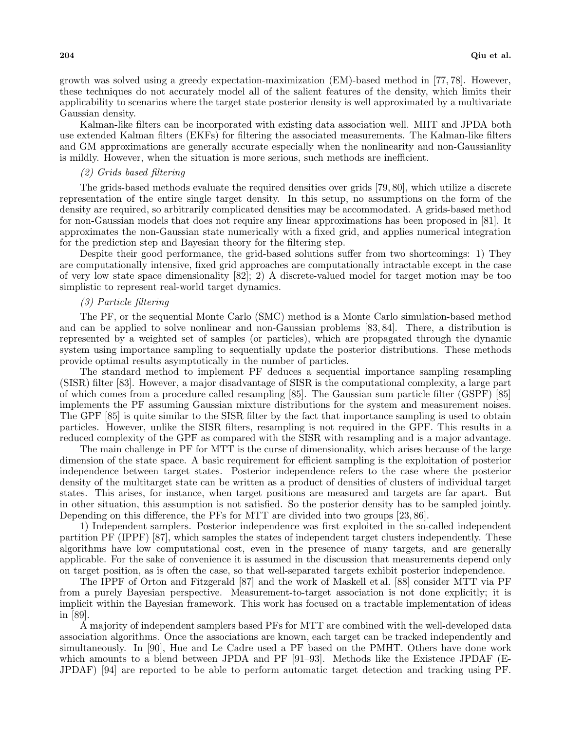growth was solved using a greedy expectation-maximization (EM)-based method in [77, 78]. However, these techniques do not accurately model all of the salient features of the density, which limits their applicability to scenarios where the target state posterior density is well approximated by a multivariate Gaussian density.

Kalman-like filters can be incorporated with existing data association well. MHT and JPDA both use extended Kalman filters (EKFs) for filtering the associated measurements. The Kalman-like filters and GM approximations are generally accurate especially when the nonlinearity and non-Gaussianlity is mildly. However, when the situation is more serious, such methods are inefficient.

## *(2) Grids based filtering*

The grids-based methods evaluate the required densities over grids [79, 80], which utilize a discrete representation of the entire single target density. In this setup, no assumptions on the form of the density are required, so arbitrarily complicated densities may be accommodated. A grids-based method for non-Gaussian models that does not require any linear approximations has been proposed in [81]. It approximates the non-Gaussian state numerically with a fixed grid, and applies numerical integration for the prediction step and Bayesian theory for the filtering step.

Despite their good performance, the grid-based solutions suffer from two shortcomings: 1) They are computationally intensive, fixed grid approaches are computationally intractable except in the case of very low state space dimensionality [82]; 2) A discrete-valued model for target motion may be too simplistic to represent real-world target dynamics.

## *(3) Particle filtering*

The PF, or the sequential Monte Carlo (SMC) method is a Monte Carlo simulation-based method and can be applied to solve nonlinear and non-Gaussian problems [83, 84]. There, a distribution is represented by a weighted set of samples (or particles), which are propagated through the dynamic system using importance sampling to sequentially update the posterior distributions. These methods provide optimal results asymptotically in the number of particles.

The standard method to implement PF deduces a sequential importance sampling resampling (SISR) filter [83]. However, a major disadvantage of SISR is the computational complexity, a large part of which comes from a procedure called resampling [85]. The Gaussian sum particle filter (GSPF) [85] implements the PF assuming Gaussian mixture distributions for the system and measurement noises. The GPF [85] is quite similar to the SISR filter by the fact that importance sampling is used to obtain particles. However, unlike the SISR filters, resampling is not required in the GPF. This results in a reduced complexity of the GPF as compared with the SISR with resampling and is a major advantage.

The main challenge in PF for MTT is the curse of dimensionality, which arises because of the large dimension of the state space. A basic requirement for efficient sampling is the exploitation of posterior independence between target states. Posterior independence refers to the case where the posterior density of the multitarget state can be written as a product of densities of clusters of individual target states. This arises, for instance, when target positions are measured and targets are far apart. But in other situation, this assumption is not satisfied. So the posterior density has to be sampled jointly. Depending on this difference, the PFs for MTT are divided into two groups [23, 86].

1) Independent samplers. Posterior independence was first exploited in the so-called independent partition PF (IPPF) [87], which samples the states of independent target clusters independently. These algorithms have low computational cost, even in the presence of many targets, and are generally applicable. For the sake of convenience it is assumed in the discussion that measurements depend only on target position, as is often the case, so that well-separated targets exhibit posterior independence.

The IPPF of Orton and Fitzgerald [87] and the work of Maskell et al. [88] consider MTT via PF from a purely Bayesian perspective. Measurement-to-target association is not done explicitly; it is implicit within the Bayesian framework. This work has focused on a tractable implementation of ideas in [89].

A majority of independent samplers based PFs for MTT are combined with the well-developed data association algorithms. Once the associations are known, each target can be tracked independently and simultaneously. In [90], Hue and Le Cadre used a PF based on the PMHT. Others have done work which amounts to a blend between JPDA and PF [91–93]. Methods like the Existence JPDAF (E-JPDAF) [94] are reported to be able to perform automatic target detection and tracking using PF.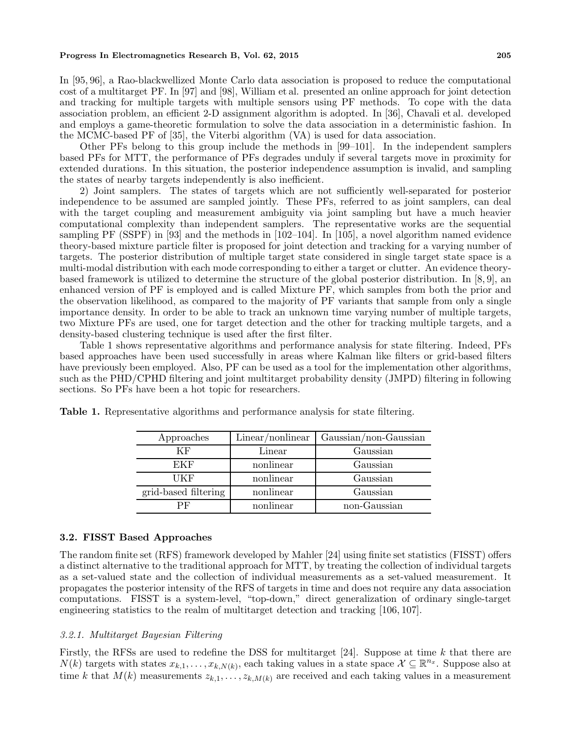In [95, 96], a Rao-blackwellized Monte Carlo data association is proposed to reduce the computational cost of a multitarget PF. In [97] and [98], William et al. presented an online approach for joint detection and tracking for multiple targets with multiple sensors using PF methods. To cope with the data association problem, an efficient 2-D assignment algorithm is adopted. In [36], Chavali et al. developed and employs a game-theoretic formulation to solve the data association in a deterministic fashion. In the MCMC-based PF of [35], the Viterbi algorithm (VA) is used for data association.

Other PFs belong to this group include the methods in [99–101]. In the independent samplers based PFs for MTT, the performance of PFs degrades unduly if several targets move in proximity for extended durations. In this situation, the posterior independence assumption is invalid, and sampling the states of nearby targets independently is also inefficient.

2) Joint samplers. The states of targets which are not sufficiently well-separated for posterior independence to be assumed are sampled jointly. These PFs, referred to as joint samplers, can deal with the target coupling and measurement ambiguity via joint sampling but have a much heavier computational complexity than independent samplers. The representative works are the sequential sampling PF (SSPF) in [93] and the methods in [102–104]. In [105], a novel algorithm named evidence theory-based mixture particle filter is proposed for joint detection and tracking for a varying number of targets. The posterior distribution of multiple target state considered in single target state space is a multi-modal distribution with each mode corresponding to either a target or clutter. An evidence theorybased framework is utilized to determine the structure of the global posterior distribution. In [8, 9], an enhanced version of PF is employed and is called Mixture PF, which samples from both the prior and the observation likelihood, as compared to the majority of PF variants that sample from only a single importance density. In order to be able to track an unknown time varying number of multiple targets, two Mixture PFs are used, one for target detection and the other for tracking multiple targets, and a density-based clustering technique is used after the first filter.

Table 1 shows representative algorithms and performance analysis for state filtering. Indeed, PFs based approaches have been used successfully in areas where Kalman like filters or grid-based filters have previously been employed. Also, PF can be used as a tool for the implementation other algorithms, such as the PHD/CPHD filtering and joint multitarget probability density (JMPD) filtering in following sections. So PFs have been a hot topic for researchers.

| Approaches           | Linear/nonlinear | Gaussian/non-Gaussian |
|----------------------|------------------|-----------------------|
| K F                  | Linear           | Gaussian              |
| EKF                  | nonlinear        | Gaussian              |
| UKF                  | nonlinear        | Gaussian              |
| grid-based filtering | nonlinear        | Gaussian              |
| РF                   | nonlinear        | non-Gaussian          |

**Table 1.** Representative algorithms and performance analysis for state filtering.

## **3.2. FISST Based Approaches**

The random finite set (RFS) framework developed by Mahler [24] using finite set statistics (FISST) offers a distinct alternative to the traditional approach for MTT, by treating the collection of individual targets as a set-valued state and the collection of individual measurements as a set-valued measurement. It propagates the posterior intensity of the RFS of targets in time and does not require any data association computations. FISST is a system-level, "top-down," direct generalization of ordinary single-target engineering statistics to the realm of multitarget detection and tracking [106, 107].

## *3.2.1. Multitarget Bayesian Filtering*

Firstly, the RFSs are used to redefine the DSS for multitarget [24]. Suppose at time k that there are  $N(k)$  targets with states  $x_{k,1},\ldots,x_{k,N(k)}$ , each taking values in a state space  $\mathcal{X} \subseteq \mathbb{R}^{n_x}$ . Suppose also at time k that  $M(k)$  measurements  $z_{k,1},\ldots,z_{k,M(k)}$  are received and each taking values in a measurement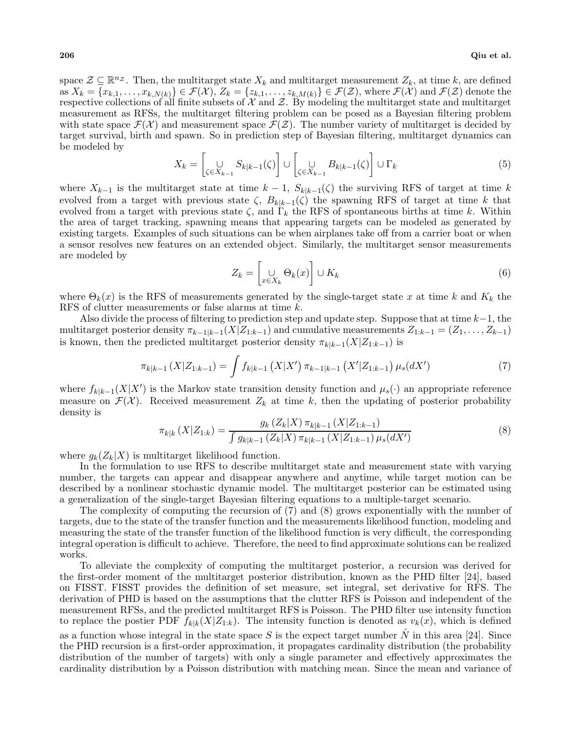space  $\mathcal{Z} \subseteq \mathbb{R}^{n_{\mathcal{Z}}}$ . Then, the multitarget state  $X_k$  and multitarget measurement  $Z_k$ , at time k, are defined as  $X_k = \{x_{k,1}, \ldots, x_{k,N(k)}\} \in \mathcal{F}(\mathcal{X}), Z_k = \{z_{k,1}, \ldots, z_{k,M(k)}\} \in \mathcal{F}(\mathcal{Z}),$  where  $\mathcal{F}(\mathcal{X})$  and  $\mathcal{F}(\mathcal{Z})$  denote the respective collections of all finite subsets of  $\mathcal X$  and  $\mathcal Z$ . By modeling the multitarget state and multitarget measurement as RFSs, the multitarget filtering problem can be posed as a Bayesian filtering problem with state space  $\mathcal{F}(\mathcal{X})$  and measurement space  $\mathcal{F}(\mathcal{Z})$ . The number variety of multitarget is decided by target survival, birth and spawn. So in prediction step of Bayesian filtering, multitarget dynamics can be modeled by

$$
X_k = \left[\bigcup_{\zeta \in X_{k-1}} S_{k|k-1}(\zeta)\right] \cup \left[\bigcup_{\zeta \in X_{k-1}} B_{k|k-1}(\zeta)\right] \cup \Gamma_k
$$
\n(5)

where  $X_{k-1}$  is the multitarget state at time  $k-1$ ,  $S_{k|k-1}(\zeta)$  the surviving RFS of target at time k evolved from a target with previous state  $\zeta$ ,  $B_{k|k-1}(\zeta)$  the spawning RFS of target at time k that evolved from a target with previous state  $\zeta$ , and  $\Gamma_k$  the RFS of spontaneous births at time k. Within the area of target tracking, spawning means that appearing targets can be modeled as generated by existing targets. Examples of such situations can be when airplanes take off from a carrier boat or when a sensor resolves new features on an extended object. Similarly, the multitarget sensor measurements are modeled by

$$
Z_k = \left[\bigcup_{x \in X_k} \Theta_k(x)\right] \cup K_k \tag{6}
$$

where  $\Theta_k(x)$  is the RFS of measurements generated by the single-target state x at time k and  $K_k$  the RFS of clutter measurements or false alarms at time k.

Also divide the process of filtering to prediction step and update step. Suppose that at time  $k-1$ , the multitarget posterior density  $\pi_{k-1|k-1}(X|Z_{1:k-1})$  and cumulative measurements  $Z_{1:k-1} = (Z_1,\ldots,Z_{k-1})$ is known, then the predicted multitarget posterior density  $\pi_{k|k-1}(X|Z_{1:k-1})$  is

$$
\pi_{k|k-1}(X|Z_{1:k-1}) = \int f_{k|k-1}(X|X') \,\pi_{k-1|k-1}(X'|Z_{1:k-1}) \,\mu_s(dX') \tag{7}
$$

where  $f_{k|k-1}(X|X')$  is the Markov state transition density function and  $\mu_s(\cdot)$  an appropriate reference measure on  $\mathcal{F}(\mathcal{X})$ . Received measurement  $Z_k$  at time k, then the updating of posterior probability density is

$$
\pi_{k|k}\left(X|Z_{1:k}\right) = \frac{g_k\left(Z_k|X\right)\pi_{k|k-1}\left(X|Z_{1:k-1}\right)}{\int g_{k|k-1}\left(Z_k|X\right)\pi_{k|k-1}\left(X|Z_{1:k-1}\right)\mu_s(dX')}\tag{8}
$$

where  $g_k(Z_k|X)$  is multitarget likelihood function.

In the formulation to use RFS to describe multitarget state and measurement state with varying number, the targets can appear and disappear anywhere and anytime, while target motion can be described by a nonlinear stochastic dynamic model. The multitarget posterior can be estimated using a generalization of the single-target Bayesian filtering equations to a multiple-target scenario.

The complexity of computing the recursion of (7) and (8) grows exponentially with the number of targets, due to the state of the transfer function and the measurements likelihood function, modeling and measuring the state of the transfer function of the likelihood function is very difficult, the corresponding integral operation is difficult to achieve. Therefore, the need to find approximate solutions can be realized works.

To alleviate the complexity of computing the multitarget posterior, a recursion was derived for the first-order moment of the multitarget posterior distribution, known as the PHD filter [24], based on FISST. FISST provides the definition of set measure, set integral, set derivative for RFS. The derivation of PHD is based on the assumptions that the clutter RFS is Poisson and independent of the measurement RFSs, and the predicted multitarget RFS is Poisson. The PHD filter use intensity function to replace the postier PDF  $f_{k|k}(X|Z_{1:k})$ . The intensity function is denoted as  $v_k(x)$ , which is defined as a function whose integral in the state space S is the expect target number  $\dot{N}$  in this area [24]. Since the PHD recursion is a first-order approximation, it propagates cardinality distribution (the probability distribution of the number of targets) with only a single parameter and effectively approximates the cardinality distribution by a Poisson distribution with matching mean. Since the mean and variance of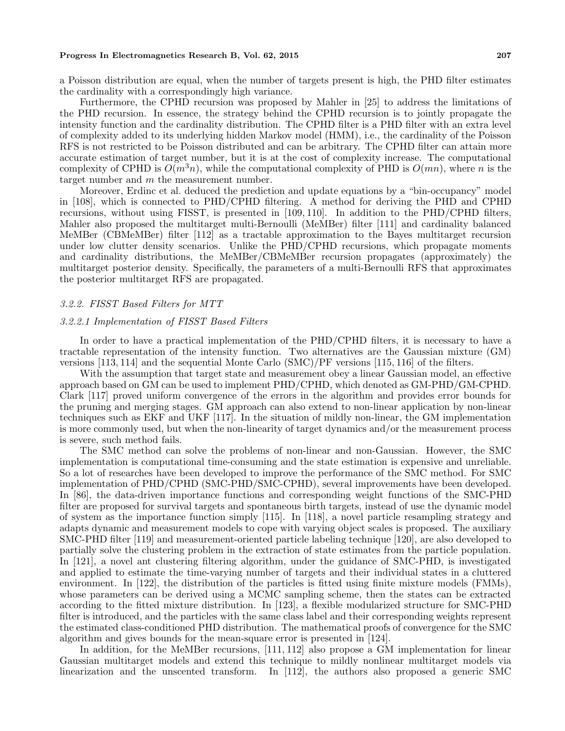a Poisson distribution are equal, when the number of targets present is high, the PHD filter estimates the cardinality with a correspondingly high variance.

Furthermore, the CPHD recursion was proposed by Mahler in [25] to address the limitations of the PHD recursion. In essence, the strategy behind the CPHD recursion is to jointly propagate the intensity function and the cardinality distribution. The CPHD filter is a PHD filter with an extra level of complexity added to its underlying hidden Markov model (HMM), i.e., the cardinality of the Poisson RFS is not restricted to be Poisson distributed and can be arbitrary. The CPHD filter can attain more accurate estimation of target number, but it is at the cost of complexity increase. The computational complexity of CPHD is  $O(m^3n)$ , while the computational complexity of PHD is  $O(mn)$ , where n is the target number and  $m$  the measurement number.

Moreover, Erdinc et al. deduced the prediction and update equations by a "bin-occupancy" model in [108], which is connected to PHD/CPHD filtering. A method for deriving the PHD and CPHD recursions, without using FISST, is presented in [109, 110]. In addition to the PHD/CPHD filters, Mahler also proposed the multitarget multi-Bernoulli (MeMBer) filter [111] and cardinality balanced MeMBer (CBMeMBer) filter [112] as a tractable approximation to the Bayes multitarget recursion under low clutter density scenarios. Unlike the PHD/CPHD recursions, which propagate moments and cardinality distributions, the MeMBer/CBMeMBer recursion propagates (approximately) the multitarget posterior density. Specifically, the parameters of a multi-Bernoulli RFS that approximates the posterior multitarget RFS are propagated.

# *3.2.2. FISST Based Filters for MTT*

### *3.2.2.1 Implementation of FISST Based Filters*

In order to have a practical implementation of the PHD/CPHD filters, it is necessary to have a tractable representation of the intensity function. Two alternatives are the Gaussian mixture (GM) versions [113, 114] and the sequential Monte Carlo (SMC)/PF versions [115, 116] of the filters.

With the assumption that target state and measurement obey a linear Gaussian model, an effective approach based on GM can be used to implement PHD/CPHD, which denoted as GM-PHD/GM-CPHD. Clark [117] proved uniform convergence of the errors in the algorithm and provides error bounds for the pruning and merging stages. GM approach can also extend to non-linear application by non-linear techniques such as EKF and UKF [117]. In the situation of mildly non-linear, the GM implementation is more commonly used, but when the non-linearity of target dynamics and/or the measurement process is severe, such method fails.

The SMC method can solve the problems of non-linear and non-Gaussian. However, the SMC implementation is computational time-consuming and the state estimation is expensive and unreliable. So a lot of researches have been developed to improve the performance of the SMC method. For SMC implementation of PHD/CPHD (SMC-PHD/SMC-CPHD), several improvements have been developed. In [86], the data-driven importance functions and corresponding weight functions of the SMC-PHD filter are proposed for survival targets and spontaneous birth targets, instead of use the dynamic model of system as the importance function simply [115]. In [118], a novel particle resampling strategy and adapts dynamic and measurement models to cope with varying object scales is proposed. The auxiliary SMC-PHD filter [119] and measurement-oriented particle labeling technique [120], are also developed to partially solve the clustering problem in the extraction of state estimates from the particle population. In [121], a novel ant clustering filtering algorithm, under the guidance of SMC-PHD, is investigated and applied to estimate the time-varying number of targets and their individual states in a cluttered environment. In [122], the distribution of the particles is fitted using finite mixture models (FMMs), whose parameters can be derived using a MCMC sampling scheme, then the states can be extracted according to the fitted mixture distribution. In [123], a flexible modularized structure for SMC-PHD filter is introduced, and the particles with the same class label and their corresponding weights represent the estimated class-conditioned PHD distribution. The mathematical proofs of convergence for the SMC algorithm and gives bounds for the mean-square error is presented in [124].

In addition, for the MeMBer recursions, [111, 112] also propose a GM implementation for linear Gaussian multitarget models and extend this technique to mildly nonlinear multitarget models via linearization and the unscented transform. In [112], the authors also proposed a generic SMC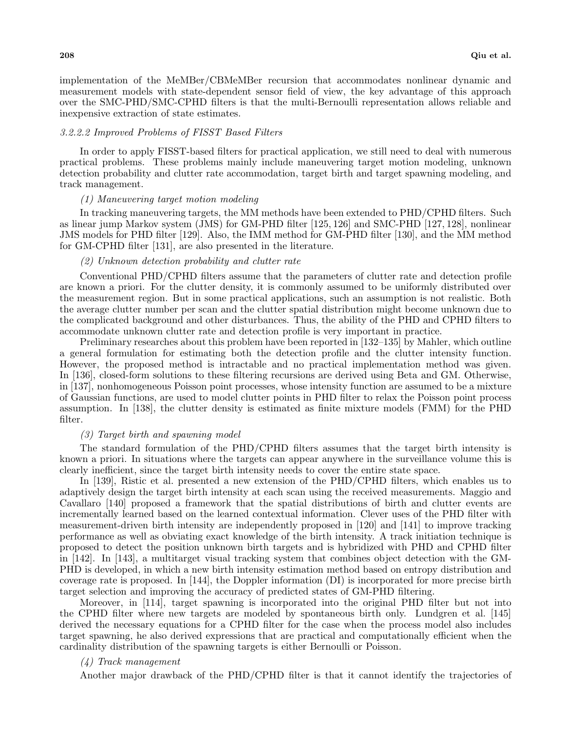implementation of the MeMBer/CBMeMBer recursion that accommodates nonlinear dynamic and measurement models with state-dependent sensor field of view, the key advantage of this approach over the SMC-PHD/SMC-CPHD filters is that the multi-Bernoulli representation allows reliable and inexpensive extraction of state estimates.

## *3.2.2.2 Improved Problems of FISST Based Filters*

In order to apply FISST-based filters for practical application, we still need to deal with numerous practical problems. These problems mainly include maneuvering target motion modeling, unknown detection probability and clutter rate accommodation, target birth and target spawning modeling, and track management.

## *(1) Maneuvering target motion modeling*

In tracking maneuvering targets, the MM methods have been extended to PHD/CPHD filters. Such as linear jump Markov system (JMS) for GM-PHD filter [125, 126] and SMC-PHD [127, 128], nonlinear JMS models for PHD filter [129]. Also, the IMM method for GM-PHD filter [130], and the MM method for GM-CPHD filter [131], are also presented in the literature.

## *(2) Unknown detection probability and clutter rate*

Conventional PHD/CPHD filters assume that the parameters of clutter rate and detection profile are known a priori. For the clutter density, it is commonly assumed to be uniformly distributed over the measurement region. But in some practical applications, such an assumption is not realistic. Both the average clutter number per scan and the clutter spatial distribution might become unknown due to the complicated background and other disturbances. Thus, the ability of the PHD and CPHD filters to accommodate unknown clutter rate and detection profile is very important in practice.

Preliminary researches about this problem have been reported in [132–135] by Mahler, which outline a general formulation for estimating both the detection profile and the clutter intensity function. However, the proposed method is intractable and no practical implementation method was given. In [136], closed-form solutions to these filtering recursions are derived using Beta and GM. Otherwise, in [137], nonhomogeneous Poisson point processes, whose intensity function are assumed to be a mixture of Gaussian functions, are used to model clutter points in PHD filter to relax the Poisson point process assumption. In [138], the clutter density is estimated as finite mixture models (FMM) for the PHD filter.

### *(3) Target birth and spawning model*

The standard formulation of the PHD/CPHD filters assumes that the target birth intensity is known a priori. In situations where the targets can appear anywhere in the surveillance volume this is clearly inefficient, since the target birth intensity needs to cover the entire state space.

In [139], Ristic et al. presented a new extension of the PHD/CPHD filters, which enables us to adaptively design the target birth intensity at each scan using the received measurements. Maggio and Cavallaro [140] proposed a framework that the spatial distributions of birth and clutter events are incrementally learned based on the learned contextual information. Clever uses of the PHD filter with measurement-driven birth intensity are independently proposed in [120] and [141] to improve tracking performance as well as obviating exact knowledge of the birth intensity. A track initiation technique is proposed to detect the position unknown birth targets and is hybridized with PHD and CPHD filter in [142]. In [143], a multitarget visual tracking system that combines object detection with the GM-PHD is developed, in which a new birth intensity estimation method based on entropy distribution and coverage rate is proposed. In [144], the Doppler information (DI) is incorporated for more precise birth target selection and improving the accuracy of predicted states of GM-PHD filtering.

Moreover, in [114], target spawning is incorporated into the original PHD filter but not into the CPHD filter where new targets are modeled by spontaneous birth only. Lundgren et al. [145] derived the necessary equations for a CPHD filter for the case when the process model also includes target spawning, he also derived expressions that are practical and computationally efficient when the cardinality distribution of the spawning targets is either Bernoulli or Poisson.

### *(4) Track management*

Another major drawback of the PHD/CPHD filter is that it cannot identify the trajectories of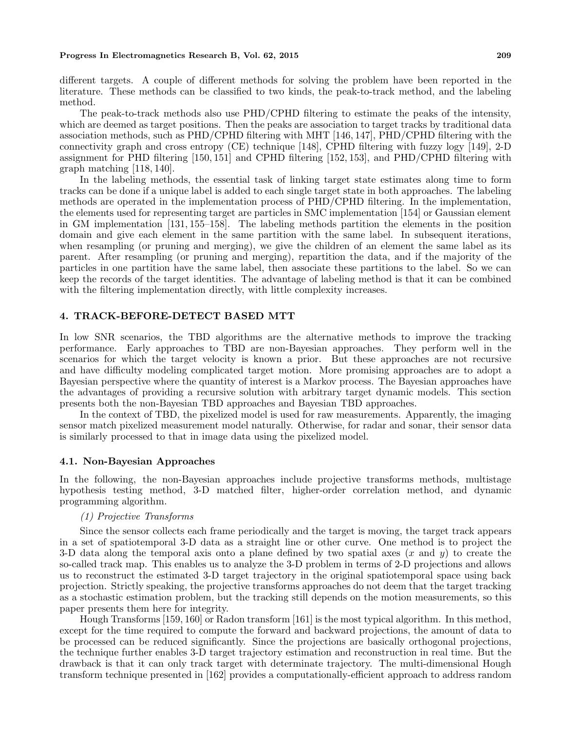different targets. A couple of different methods for solving the problem have been reported in the literature. These methods can be classified to two kinds, the peak-to-track method, and the labeling method.

The peak-to-track methods also use PHD/CPHD filtering to estimate the peaks of the intensity, which are deemed as target positions. Then the peaks are association to target tracks by traditional data association methods, such as PHD/CPHD filtering with MHT [146, 147], PHD/CPHD filtering with the connectivity graph and cross entropy (CE) technique [148], CPHD filtering with fuzzy logy [149], 2-D assignment for PHD filtering [150, 151] and CPHD filtering [152, 153], and PHD/CPHD filtering with graph matching [118, 140].

In the labeling methods, the essential task of linking target state estimates along time to form tracks can be done if a unique label is added to each single target state in both approaches. The labeling methods are operated in the implementation process of PHD/CPHD filtering. In the implementation, the elements used for representing target are particles in SMC implementation [154] or Gaussian element in GM implementation [131, 155–158]. The labeling methods partition the elements in the position domain and give each element in the same partition with the same label. In subsequent iterations, when resampling (or pruning and merging), we give the children of an element the same label as its parent. After resampling (or pruning and merging), repartition the data, and if the majority of the particles in one partition have the same label, then associate these partitions to the label. So we can keep the records of the target identities. The advantage of labeling method is that it can be combined with the filtering implementation directly, with little complexity increases.

### **4. TRACK-BEFORE-DETECT BASED MTT**

In low SNR scenarios, the TBD algorithms are the alternative methods to improve the tracking performance. Early approaches to TBD are non-Bayesian approaches. They perform well in the scenarios for which the target velocity is known a prior. But these approaches are not recursive and have difficulty modeling complicated target motion. More promising approaches are to adopt a Bayesian perspective where the quantity of interest is a Markov process. The Bayesian approaches have the advantages of providing a recursive solution with arbitrary target dynamic models. This section presents both the non-Bayesian TBD approaches and Bayesian TBD approaches.

In the context of TBD, the pixelized model is used for raw measurements. Apparently, the imaging sensor match pixelized measurement model naturally. Otherwise, for radar and sonar, their sensor data is similarly processed to that in image data using the pixelized model.

## **4.1. Non-Bayesian Approaches**

In the following, the non-Bayesian approaches include projective transforms methods, multistage hypothesis testing method, 3-D matched filter, higher-order correlation method, and dynamic programming algorithm.

## *(1) Projective Transforms*

Since the sensor collects each frame periodically and the target is moving, the target track appears in a set of spatiotemporal 3-D data as a straight line or other curve. One method is to project the 3-D data along the temporal axis onto a plane defined by two spatial axes  $(x \text{ and } y)$  to create the so-called track map. This enables us to analyze the 3-D problem in terms of 2-D projections and allows us to reconstruct the estimated 3-D target trajectory in the original spatiotemporal space using back projection. Strictly speaking, the projective transforms approaches do not deem that the target tracking as a stochastic estimation problem, but the tracking still depends on the motion measurements, so this paper presents them here for integrity.

Hough Transforms [159, 160] or Radon transform [161] is the most typical algorithm. In this method, except for the time required to compute the forward and backward projections, the amount of data to be processed can be reduced significantly. Since the projections are basically orthogonal projections, the technique further enables 3-D target trajectory estimation and reconstruction in real time. But the drawback is that it can only track target with determinate trajectory. The multi-dimensional Hough transform technique presented in [162] provides a computationally-efficient approach to address random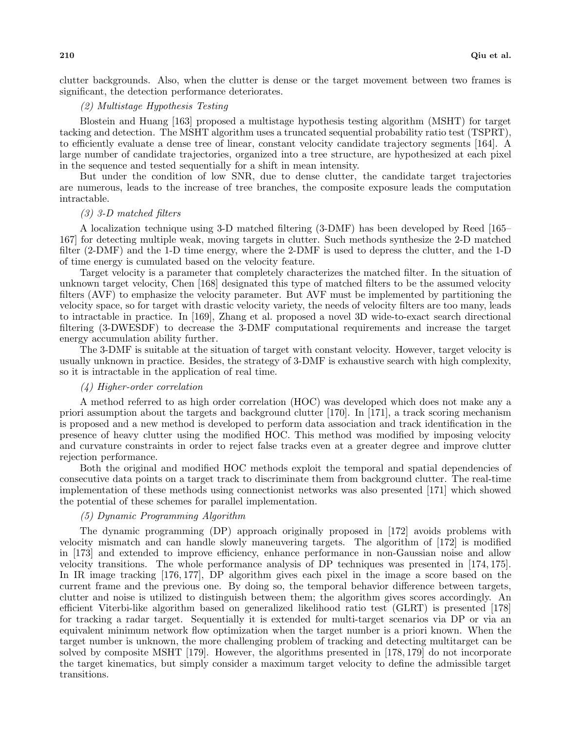clutter backgrounds. Also, when the clutter is dense or the target movement between two frames is significant, the detection performance deteriorates.

## *(2) Multistage Hypothesis Testing*

Blostein and Huang [163] proposed a multistage hypothesis testing algorithm (MSHT) for target tacking and detection. The MSHT algorithm uses a truncated sequential probability ratio test (TSPRT), to efficiently evaluate a dense tree of linear, constant velocity candidate trajectory segments [164]. A large number of candidate trajectories, organized into a tree structure, are hypothesized at each pixel in the sequence and tested sequentially for a shift in mean intensity.

But under the condition of low SNR, due to dense clutter, the candidate target trajectories are numerous, leads to the increase of tree branches, the composite exposure leads the computation intractable.

## *(3) 3-D matched filters*

A localization technique using 3-D matched filtering (3-DMF) has been developed by Reed [165– 167] for detecting multiple weak, moving targets in clutter. Such methods synthesize the 2-D matched filter (2-DMF) and the 1-D time energy, where the 2-DMF is used to depress the clutter, and the 1-D of time energy is cumulated based on the velocity feature.

Target velocity is a parameter that completely characterizes the matched filter. In the situation of unknown target velocity, Chen [168] designated this type of matched filters to be the assumed velocity filters (AVF) to emphasize the velocity parameter. But AVF must be implemented by partitioning the velocity space, so for target with drastic velocity variety, the needs of velocity filters are too many, leads to intractable in practice. In [169], Zhang et al. proposed a novel 3D wide-to-exact search directional filtering (3-DWESDF) to decrease the 3-DMF computational requirements and increase the target energy accumulation ability further.

The 3-DMF is suitable at the situation of target with constant velocity. However, target velocity is usually unknown in practice. Besides, the strategy of 3-DMF is exhaustive search with high complexity, so it is intractable in the application of real time.

# *(4) Higher-order correlation*

A method referred to as high order correlation (HOC) was developed which does not make any a priori assumption about the targets and background clutter [170]. In [171], a track scoring mechanism is proposed and a new method is developed to perform data association and track identification in the presence of heavy clutter using the modified HOC. This method was modified by imposing velocity and curvature constraints in order to reject false tracks even at a greater degree and improve clutter rejection performance.

Both the original and modified HOC methods exploit the temporal and spatial dependencies of consecutive data points on a target track to discriminate them from background clutter. The real-time implementation of these methods using connectionist networks was also presented [171] which showed the potential of these schemes for parallel implementation.

## *(5) Dynamic Programming Algorithm*

The dynamic programming (DP) approach originally proposed in [172] avoids problems with velocity mismatch and can handle slowly maneuvering targets. The algorithm of [172] is modified in [173] and extended to improve efficiency, enhance performance in non-Gaussian noise and allow velocity transitions. The whole performance analysis of DP techniques was presented in [174, 175]. In IR image tracking [176, 177], DP algorithm gives each pixel in the image a score based on the current frame and the previous one. By doing so, the temporal behavior difference between targets, clutter and noise is utilized to distinguish between them; the algorithm gives scores accordingly. An efficient Viterbi-like algorithm based on generalized likelihood ratio test (GLRT) is presented [178] for tracking a radar target. Sequentially it is extended for multi-target scenarios via DP or via an equivalent minimum network flow optimization when the target number is a priori known. When the target number is unknown, the more challenging problem of tracking and detecting multitarget can be solved by composite MSHT [179]. However, the algorithms presented in [178, 179] do not incorporate the target kinematics, but simply consider a maximum target velocity to define the admissible target transitions.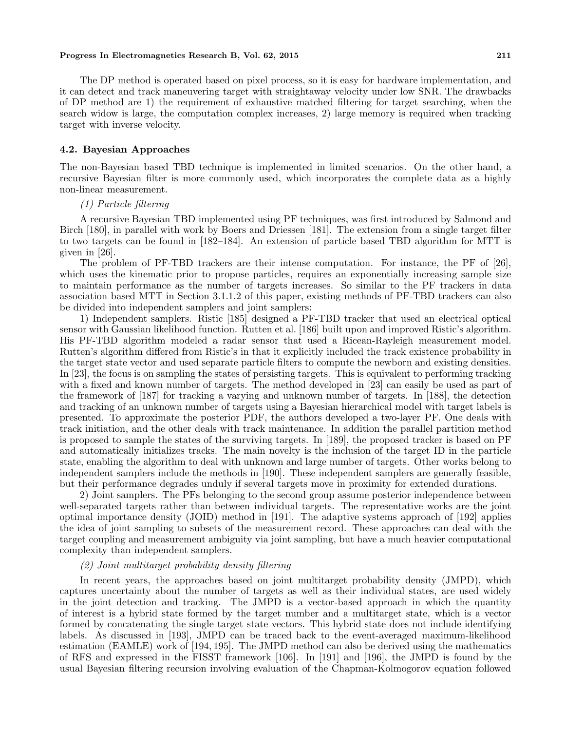The DP method is operated based on pixel process, so it is easy for hardware implementation, and it can detect and track maneuvering target with straightaway velocity under low SNR. The drawbacks of DP method are 1) the requirement of exhaustive matched filtering for target searching, when the search widow is large, the computation complex increases, 2) large memory is required when tracking target with inverse velocity.

## **4.2. Bayesian Approaches**

The non-Bayesian based TBD technique is implemented in limited scenarios. On the other hand, a recursive Bayesian filter is more commonly used, which incorporates the complete data as a highly non-linear measurement.

## *(1) Particle filtering*

A recursive Bayesian TBD implemented using PF techniques, was first introduced by Salmond and Birch [180], in parallel with work by Boers and Driessen [181]. The extension from a single target filter to two targets can be found in [182–184]. An extension of particle based TBD algorithm for MTT is given in [26].

The problem of PF-TBD trackers are their intense computation. For instance, the PF of [26], which uses the kinematic prior to propose particles, requires an exponentially increasing sample size to maintain performance as the number of targets increases. So similar to the PF trackers in data association based MTT in Section 3.1.1.2 of this paper, existing methods of PF-TBD trackers can also be divided into independent samplers and joint samplers:

1) Independent samplers. Ristic [185] designed a PF-TBD tracker that used an electrical optical sensor with Gaussian likelihood function. Rutten et al. [186] built upon and improved Ristic's algorithm. His PF-TBD algorithm modeled a radar sensor that used a Ricean-Rayleigh measurement model. Rutten's algorithm differed from Ristic's in that it explicitly included the track existence probability in the target state vector and used separate particle filters to compute the newborn and existing densities. In [23], the focus is on sampling the states of persisting targets. This is equivalent to performing tracking with a fixed and known number of targets. The method developed in [23] can easily be used as part of the framework of [187] for tracking a varying and unknown number of targets. In [188], the detection and tracking of an unknown number of targets using a Bayesian hierarchical model with target labels is presented. To approximate the posterior PDF, the authors developed a two-layer PF. One deals with track initiation, and the other deals with track maintenance. In addition the parallel partition method is proposed to sample the states of the surviving targets. In [189], the proposed tracker is based on PF and automatically initializes tracks. The main novelty is the inclusion of the target ID in the particle state, enabling the algorithm to deal with unknown and large number of targets. Other works belong to independent samplers include the methods in [190]. These independent samplers are generally feasible, but their performance degrades unduly if several targets move in proximity for extended durations.

2) Joint samplers. The PFs belonging to the second group assume posterior independence between well-separated targets rather than between individual targets. The representative works are the joint optimal importance density (JOID) method in [191]. The adaptive systems approach of [192] applies the idea of joint sampling to subsets of the measurement record. These approaches can deal with the target coupling and measurement ambiguity via joint sampling, but have a much heavier computational complexity than independent samplers.

## *(2) Joint multitarget probability density filtering*

In recent years, the approaches based on joint multitarget probability density (JMPD), which captures uncertainty about the number of targets as well as their individual states, are used widely in the joint detection and tracking. The JMPD is a vector-based approach in which the quantity of interest is a hybrid state formed by the target number and a multitarget state, which is a vector formed by concatenating the single target state vectors. This hybrid state does not include identifying labels. As discussed in [193], JMPD can be traced back to the event-averaged maximum-likelihood estimation (EAMLE) work of [194, 195]. The JMPD method can also be derived using the mathematics of RFS and expressed in the FISST framework [106]. In [191] and [196], the JMPD is found by the usual Bayesian filtering recursion involving evaluation of the Chapman-Kolmogorov equation followed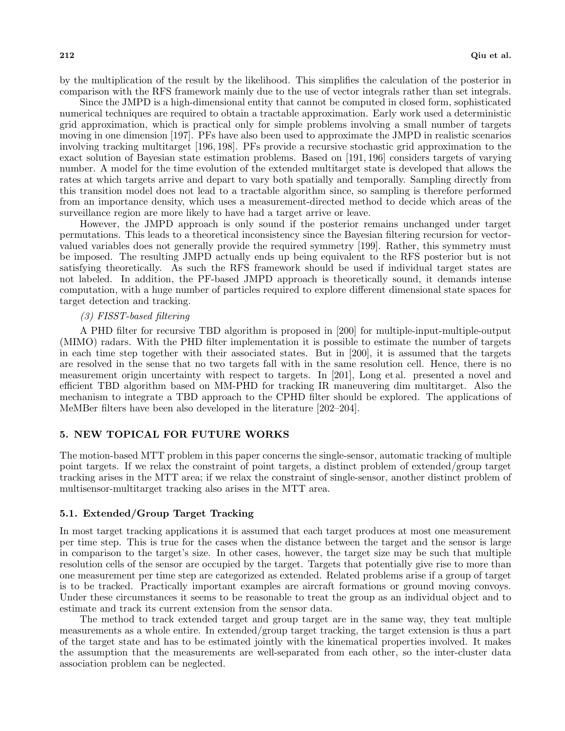by the multiplication of the result by the likelihood. This simplifies the calculation of the posterior in comparison with the RFS framework mainly due to the use of vector integrals rather than set integrals.

Since the JMPD is a high-dimensional entity that cannot be computed in closed form, sophisticated numerical techniques are required to obtain a tractable approximation. Early work used a deterministic grid approximation, which is practical only for simple problems involving a small number of targets moving in one dimension [197]. PFs have also been used to approximate the JMPD in realistic scenarios involving tracking multitarget [196, 198]. PFs provide a recursive stochastic grid approximation to the exact solution of Bayesian state estimation problems. Based on [191, 196] considers targets of varying number. A model for the time evolution of the extended multitarget state is developed that allows the rates at which targets arrive and depart to vary both spatially and temporally. Sampling directly from this transition model does not lead to a tractable algorithm since, so sampling is therefore performed from an importance density, which uses a measurement-directed method to decide which areas of the surveillance region are more likely to have had a target arrive or leave.

However, the JMPD approach is only sound if the posterior remains unchanged under target permutations. This leads to a theoretical inconsistency since the Bayesian filtering recursion for vectorvalued variables does not generally provide the required symmetry [199]. Rather, this symmetry must be imposed. The resulting JMPD actually ends up being equivalent to the RFS posterior but is not satisfying theoretically. As such the RFS framework should be used if individual target states are not labeled. In addition, the PF-based JMPD approach is theoretically sound, it demands intense computation, with a huge number of particles required to explore different dimensional state spaces for target detection and tracking.

## *(3) FISST-based filtering*

A PHD filter for recursive TBD algorithm is proposed in [200] for multiple-input-multiple-output (MIMO) radars. With the PHD filter implementation it is possible to estimate the number of targets in each time step together with their associated states. But in [200], it is assumed that the targets are resolved in the sense that no two targets fall with in the same resolution cell. Hence, there is no measurement origin uncertainty with respect to targets. In [201], Long et al. presented a novel and efficient TBD algorithm based on MM-PHD for tracking IR maneuvering dim multitarget. Also the mechanism to integrate a TBD approach to the CPHD filter should be explored. The applications of MeMBer filters have been also developed in the literature [202–204].

## **5. NEW TOPICAL FOR FUTURE WORKS**

The motion-based MTT problem in this paper concerns the single-sensor, automatic tracking of multiple point targets. If we relax the constraint of point targets, a distinct problem of extended/group target tracking arises in the MTT area; if we relax the constraint of single-sensor, another distinct problem of multisensor-multitarget tracking also arises in the MTT area.

## **5.1. Extended/Group Target Tracking**

In most target tracking applications it is assumed that each target produces at most one measurement per time step. This is true for the cases when the distance between the target and the sensor is large in comparison to the target's size. In other cases, however, the target size may be such that multiple resolution cells of the sensor are occupied by the target. Targets that potentially give rise to more than one measurement per time step are categorized as extended. Related problems arise if a group of target is to be tracked. Practically important examples are aircraft formations or ground moving convoys. Under these circumstances it seems to be reasonable to treat the group as an individual object and to estimate and track its current extension from the sensor data.

The method to track extended target and group target are in the same way, they teat multiple measurements as a whole entire. In extended/group target tracking, the target extension is thus a part of the target state and has to be estimated jointly with the kinematical properties involved. It makes the assumption that the measurements are well-separated from each other, so the inter-cluster data association problem can be neglected.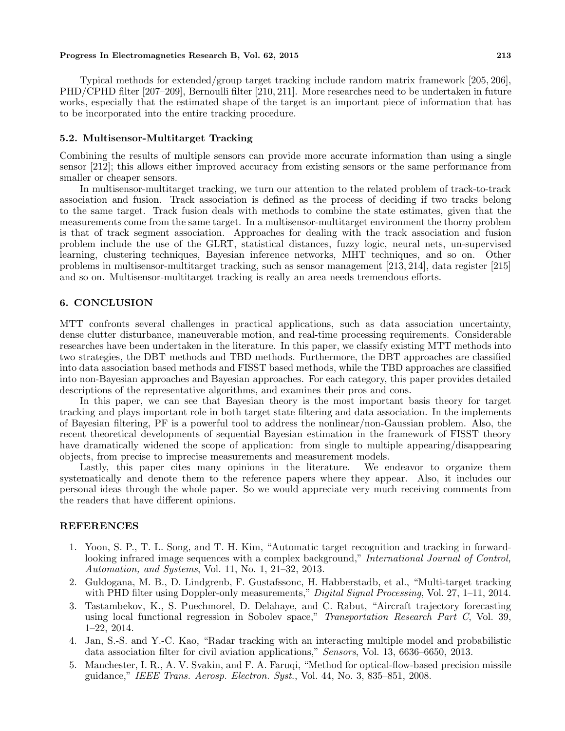Typical methods for extended/group target tracking include random matrix framework [205, 206], PHD/CPHD filter [207–209], Bernoulli filter [210, 211]. More researches need to be undertaken in future works, especially that the estimated shape of the target is an important piece of information that has to be incorporated into the entire tracking procedure.

## **5.2. Multisensor-Multitarget Tracking**

Combining the results of multiple sensors can provide more accurate information than using a single sensor [212]; this allows either improved accuracy from existing sensors or the same performance from smaller or cheaper sensors.

In multisensor-multitarget tracking, we turn our attention to the related problem of track-to-track association and fusion. Track association is defined as the process of deciding if two tracks belong to the same target. Track fusion deals with methods to combine the state estimates, given that the measurements come from the same target. In a multisensor-multitarget environment the thorny problem is that of track segment association. Approaches for dealing with the track association and fusion problem include the use of the GLRT, statistical distances, fuzzy logic, neural nets, un-supervised learning, clustering techniques, Bayesian inference networks, MHT techniques, and so on. Other problems in multisensor-multitarget tracking, such as sensor management [213, 214], data register [215] and so on. Multisensor-multitarget tracking is really an area needs tremendous efforts.

# **6. CONCLUSION**

MTT confronts several challenges in practical applications, such as data association uncertainty, dense clutter disturbance, maneuverable motion, and real-time processing requirements. Considerable researches have been undertaken in the literature. In this paper, we classify existing MTT methods into two strategies, the DBT methods and TBD methods. Furthermore, the DBT approaches are classified into data association based methods and FISST based methods, while the TBD approaches are classified into non-Bayesian approaches and Bayesian approaches. For each category, this paper provides detailed descriptions of the representative algorithms, and examines their pros and cons.

In this paper, we can see that Bayesian theory is the most important basis theory for target tracking and plays important role in both target state filtering and data association. In the implements of Bayesian filtering, PF is a powerful tool to address the nonlinear/non-Gaussian problem. Also, the recent theoretical developments of sequential Bayesian estimation in the framework of FISST theory have dramatically widened the scope of application: from single to multiple appearing/disappearing objects, from precise to imprecise measurements and measurement models.

Lastly, this paper cites many opinions in the literature. We endeavor to organize them systematically and denote them to the reference papers where they appear. Also, it includes our personal ideas through the whole paper. So we would appreciate very much receiving comments from the readers that have different opinions.

### **REFERENCES**

- 1. Yoon, S. P., T. L. Song, and T. H. Kim, "Automatic target recognition and tracking in forwardlooking infrared image sequences with a complex background," *International Journal of Control, Automation, and Systems*, Vol. 11, No. 1, 21–32, 2013.
- 2. Guldogana, M. B., D. Lindgrenb, F. Gustafssonc, H. Habberstadb, et al., "Multi-target tracking with PHD filter using Doppler-only measurements," *Digital Signal Processing*, Vol. 27, 1–11, 2014.
- 3. Tastambekov, K., S. Puechmorel, D. Delahaye, and C. Rabut, "Aircraft trajectory forecasting using local functional regression in Sobolev space," *Transportation Research Part C*, Vol. 39, 1–22, 2014.
- 4. Jan, S.-S. and Y.-C. Kao, "Radar tracking with an interacting multiple model and probabilistic data association filter for civil aviation applications," *Sensors*, Vol. 13, 6636–6650, 2013.
- 5. Manchester, I. R., A. V. Svakin, and F. A. Faruqi, "Method for optical-flow-based precision missile guidance," *IEEE Trans. Aerosp. Electron. Syst.*, Vol. 44, No. 3, 835–851, 2008.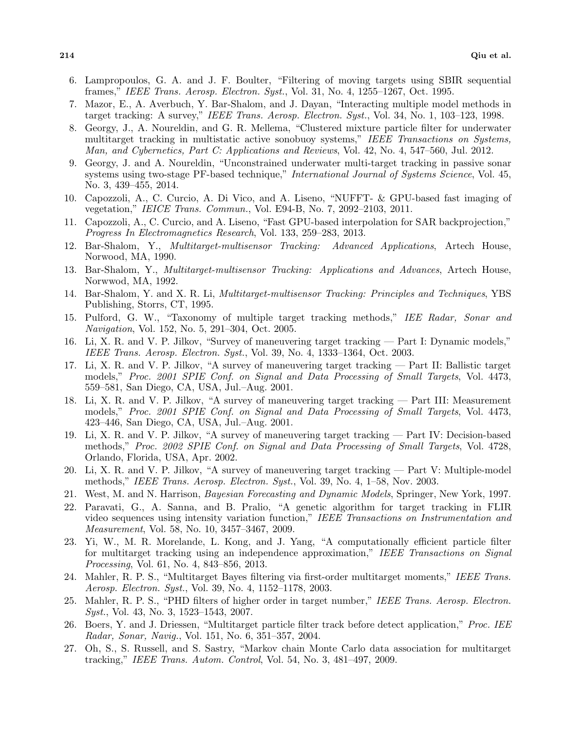- 6. Lampropoulos, G. A. and J. F. Boulter, "Filtering of moving targets using SBIR sequential frames," *IEEE Trans. Aerosp. Electron. Syst.*, Vol. 31, No. 4, 1255–1267, Oct. 1995.
- 7. Mazor, E., A. Averbuch, Y. Bar-Shalom, and J. Dayan, "Interacting multiple model methods in target tracking: A survey," *IEEE Trans. Aerosp. Electron. Syst.*, Vol. 34, No. 1, 103–123, 1998.
- 8. Georgy, J., A. Noureldin, and G. R. Mellema, "Clustered mixture particle filter for underwater multitarget tracking in multistatic active sonobuoy systems," *IEEE Transactions on Systems, Man, and Cybernetics, Part C: Applications and Reviews*, Vol. 42, No. 4, 547–560, Jul. 2012.
- 9. Georgy, J. and A. Noureldin, "Unconstrained underwater multi-target tracking in passive sonar systems using two-stage PF-based technique," *International Journal of Systems Science*, Vol. 45, No. 3, 439–455, 2014.
- 10. Capozzoli, A., C. Curcio, A. Di Vico, and A. Liseno, "NUFFT- & GPU-based fast imaging of vegetation," *IEICE Trans. Commun.*, Vol. E94-B, No. 7, 2092–2103, 2011.
- 11. Capozzoli, A., C. Curcio, and A. Liseno, "Fast GPU-based interpolation for SAR backprojection," *Progress In Electromagnetics Research*, Vol. 133, 259–283, 2013.
- 12. Bar-Shalom, Y., *Multitarget-multisensor Tracking: Advanced Applications*, Artech House, Norwood, MA, 1990.
- 13. Bar-Shalom, Y., *Multitarget-multisensor Tracking: Applications and Advances*, Artech House, Norwwod, MA, 1992.
- 14. Bar-Shalom, Y. and X. R. Li, *Multitarget-multisensor Tracking: Principles and Techniques*, YBS Publishing, Storrs, CT, 1995.
- 15. Pulford, G. W., "Taxonomy of multiple target tracking methods," *IEE Radar, Sonar and Navigation*, Vol. 152, No. 5, 291–304, Oct. 2005.
- 16. Li, X. R. and V. P. Jilkov, "Survey of maneuvering target tracking Part I: Dynamic models," *IEEE Trans. Aerosp. Electron. Syst.*, Vol. 39, No. 4, 1333–1364, Oct. 2003.
- 17. Li, X. R. and V. P. Jilkov, "A survey of maneuvering target tracking Part II: Ballistic target models," *Proc. 2001 SPIE Conf. on Signal and Data Processing of Small Targets*, Vol. 4473, 559–581, San Diego, CA, USA, Jul.–Aug. 2001.
- 18. Li, X. R. and V. P. Jilkov, "A survey of maneuvering target tracking Part III: Measurement models," *Proc. 2001 SPIE Conf. on Signal and Data Processing of Small Targets*, Vol. 4473, 423–446, San Diego, CA, USA, Jul.–Aug. 2001.
- 19. Li, X. R. and V. P. Jilkov, "A survey of maneuvering target tracking Part IV: Decision-based methods," *Proc. 2002 SPIE Conf. on Signal and Data Processing of Small Targets*, Vol. 4728, Orlando, Florida, USA, Apr. 2002.
- 20. Li, X. R. and V. P. Jilkov, "A survey of maneuvering target tracking Part V: Multiple-model methods," *IEEE Trans. Aerosp. Electron. Syst.*, Vol. 39, No. 4, 1–58, Nov. 2003.
- 21. West, M. and N. Harrison, *Bayesian Forecasting and Dynamic Models*, Springer, New York, 1997.
- 22. Paravati, G., A. Sanna, and B. Pralio, "A genetic algorithm for target tracking in FLIR video sequences using intensity variation function," *IEEE Transactions on Instrumentation and Measurement*, Vol. 58, No. 10, 3457–3467, 2009.
- 23. Yi, W., M. R. Morelande, L. Kong, and J. Yang, "A computationally efficient particle filter for multitarget tracking using an independence approximation," *IEEE Transactions on Signal Processing*, Vol. 61, No. 4, 843–856, 2013.
- 24. Mahler, R. P. S., "Multitarget Bayes filtering via first-order multitarget moments," *IEEE Trans. Aerosp. Electron. Syst.*, Vol. 39, No. 4, 1152–1178, 2003.
- 25. Mahler, R. P. S., "PHD filters of higher order in target number," *IEEE Trans. Aerosp. Electron. Syst.*, Vol. 43, No. 3, 1523–1543, 2007.
- 26. Boers, Y. and J. Driessen, "Multitarget particle filter track before detect application," *Proc. IEE Radar, Sonar, Navig.*, Vol. 151, No. 6, 351–357, 2004.
- 27. Oh, S., S. Russell, and S. Sastry, "Markov chain Monte Carlo data association for multitarget tracking," *IEEE Trans. Autom. Control*, Vol. 54, No. 3, 481–497, 2009.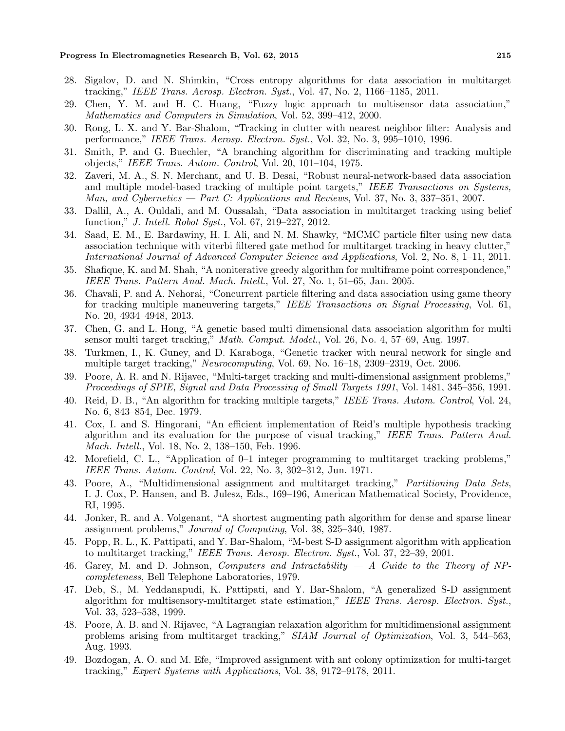- 28. Sigalov, D. and N. Shimkin, "Cross entropy algorithms for data association in multitarget tracking," *IEEE Trans. Aerosp. Electron. Syst.*, Vol. 47, No. 2, 1166–1185, 2011.
- 29. Chen, Y. M. and H. C. Huang, "Fuzzy logic approach to multisensor data association," *Mathematics and Computers in Simulation*, Vol. 52, 399–412, 2000.
- 30. Rong, L. X. and Y. Bar-Shalom, "Tracking in clutter with nearest neighbor filter: Analysis and performance," *IEEE Trans. Aerosp. Electron. Syst.*, Vol. 32, No. 3, 995–1010, 1996.
- 31. Smith, P. and G. Buechler, "A branching algorithm for discriminating and tracking multiple objects," *IEEE Trans. Autom. Control*, Vol. 20, 101–104, 1975.
- 32. Zaveri, M. A., S. N. Merchant, and U. B. Desai, "Robust neural-network-based data association and multiple model-based tracking of multiple point targets," *IEEE Transactions on Systems, Man, and Cybernetics — Part C: Applications and Reviews*, Vol. 37, No. 3, 337–351, 2007.
- 33. Dallil, A., A. Ouldali, and M. Oussalah, "Data association in multitarget tracking using belief function," *J. Intell. Robot Syst.*, Vol. 67, 219–227, 2012.
- 34. Saad, E. M., E. Bardawiny, H. I. Ali, and N. M. Shawky, "MCMC particle filter using new data association technique with viterbi filtered gate method for multitarget tracking in heavy clutter," *International Journal of Advanced Computer Science and Applications*, Vol. 2, No. 8, 1–11, 2011.
- 35. Shafique, K. and M. Shah, "A noniterative greedy algorithm for multiframe point correspondence," *IEEE Trans. Pattern Anal. Mach. Intell.*, Vol. 27, No. 1, 51–65, Jan. 2005.
- 36. Chavali, P. and A. Nehorai, "Concurrent particle filtering and data association using game theory for tracking multiple maneuvering targets," *IEEE Transactions on Signal Processing*, Vol. 61, No. 20, 4934–4948, 2013.
- 37. Chen, G. and L. Hong, "A genetic based multi dimensional data association algorithm for multi sensor multi target tracking," *Math. Comput. Model.*, Vol. 26, No. 4, 57–69, Aug. 1997.
- 38. Turkmen, I., K. Guney, and D. Karaboga, "Genetic tracker with neural network for single and multiple target tracking," *Neurocomputing*, Vol. 69, No. 16–18, 2309–2319, Oct. 2006.
- 39. Poore, A. R. and N. Rijavec, "Multi-target tracking and multi-dimensional assignment problems," *Proceedings of SPIE, Signal and Data Processing of Small Targets 1991*, Vol. 1481, 345–356, 1991.
- 40. Reid, D. B., "An algorithm for tracking multiple targets," *IEEE Trans. Autom. Control*, Vol. 24, No. 6, 843–854, Dec. 1979.
- 41. Cox, I. and S. Hingorani, "An efficient implementation of Reid's multiple hypothesis tracking algorithm and its evaluation for the purpose of visual tracking," *IEEE Trans. Pattern Anal. Mach. Intell.*, Vol. 18, No. 2, 138–150, Feb. 1996.
- 42. Morefield, C. L., "Application of 0–1 integer programming to multitarget tracking problems," *IEEE Trans. Autom. Control*, Vol. 22, No. 3, 302–312, Jun. 1971.
- 43. Poore, A., "Multidimensional assignment and multitarget tracking," *Partitioning Data Sets*, I. J. Cox, P. Hansen, and B. Julesz, Eds., 169–196, American Mathematical Society, Providence, RI, 1995.
- 44. Jonker, R. and A. Volgenant, "A shortest augmenting path algorithm for dense and sparse linear assignment problems," *Journal of Computing*, Vol. 38, 325–340, 1987.
- 45. Popp, R. L., K. Pattipati, and Y. Bar-Shalom, "M-best S-D assignment algorithm with application to multitarget tracking," *IEEE Trans. Aerosp. Electron. Syst.*, Vol. 37, 22–39, 2001.
- 46. Garey, M. and D. Johnson, *Computers and Intractability A Guide to the Theory of NPcompleteness*, Bell Telephone Laboratories, 1979.
- 47. Deb, S., M. Yeddanapudi, K. Pattipati, and Y. Bar-Shalom, "A generalized S-D assignment algorithm for multisensory-multitarget state estimation," *IEEE Trans. Aerosp. Electron. Syst.*, Vol. 33, 523–538, 1999.
- 48. Poore, A. B. and N. Rijavec, "A Lagrangian relaxation algorithm for multidimensional assignment problems arising from multitarget tracking," *SIAM Journal of Optimization*, Vol. 3, 544–563, Aug. 1993.
- 49. Bozdogan, A. O. and M. Efe, "Improved assignment with ant colony optimization for multi-target tracking," *Expert Systems with Applications*, Vol. 38, 9172–9178, 2011.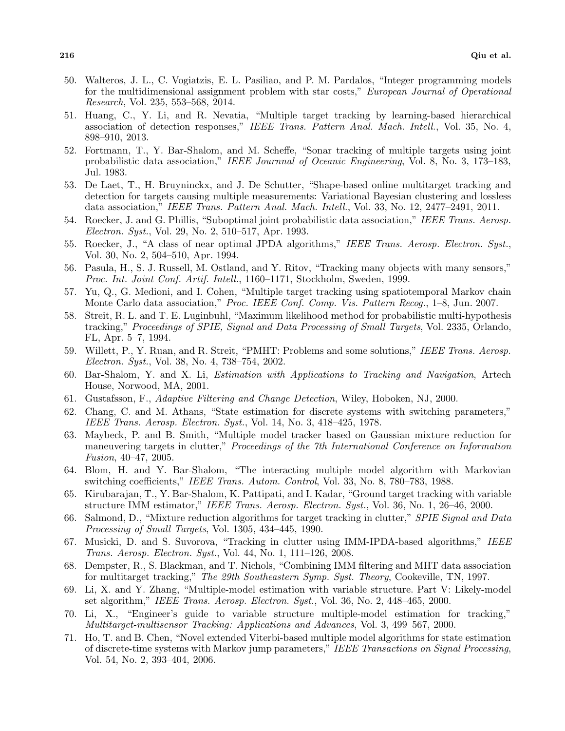- 50. Walteros, J. L., C. Vogiatzis, E. L. Pasiliao, and P. M. Pardalos, "Integer programming models for the multidimensional assignment problem with star costs," *European Journal of Operational Research*, Vol. 235, 553–568, 2014.
- 51. Huang, C., Y. Li, and R. Nevatia, "Multiple target tracking by learning-based hierarchical association of detection responses," *IEEE Trans. Pattern Anal. Mach. Intell.*, Vol. 35, No. 4, 898–910, 2013.
- 52. Fortmann, T., Y. Bar-Shalom, and M. Scheffe, "Sonar tracking of multiple targets using joint probabilistic data association," *IEEE Journnal of Oceanic Engineering*, Vol. 8, No. 3, 173–183, Jul. 1983.
- 53. De Laet, T., H. Bruyninckx, and J. De Schutter, "Shape-based online multitarget tracking and detection for targets causing multiple measurements: Variational Bayesian clustering and lossless data association," *IEEE Trans. Pattern Anal. Mach. Intell.*, Vol. 33, No. 12, 2477–2491, 2011.
- 54. Roecker, J. and G. Phillis, "Suboptimal joint probabilistic data association," *IEEE Trans. Aerosp. Electron. Syst.*, Vol. 29, No. 2, 510–517, Apr. 1993.
- 55. Roecker, J., "A class of near optimal JPDA algorithms," *IEEE Trans. Aerosp. Electron. Syst.*, Vol. 30, No. 2, 504–510, Apr. 1994.
- 56. Pasula, H., S. J. Russell, M. Ostland, and Y. Ritov, "Tracking many objects with many sensors," *Proc. Int. Joint Conf. Artif. Intell.*, 1160–1171, Stockholm, Sweden, 1999.
- 57. Yu, Q., G. Medioni, and I. Cohen, "Multiple target tracking using spatiotemporal Markov chain Monte Carlo data association," *Proc. IEEE Conf. Comp. Vis. Pattern Recog.*, 1–8, Jun. 2007.
- 58. Streit, R. L. and T. E. Luginbuhl, "Maximum likelihood method for probabilistic multi-hypothesis tracking," *Proceedings of SPIE, Signal and Data Processing of Small Targets*, Vol. 2335, Orlando, FL, Apr. 5–7, 1994.
- 59. Willett, P., Y. Ruan, and R. Streit, "PMHT: Problems and some solutions," *IEEE Trans. Aerosp. Electron. Syst.*, Vol. 38, No. 4, 738–754, 2002.
- 60. Bar-Shalom, Y. and X. Li, *Estimation with Applications to Tracking and Navigation*, Artech House, Norwood, MA, 2001.
- 61. Gustafsson, F., *Adaptive Filtering and Change Detection*, Wiley, Hoboken, NJ, 2000.
- 62. Chang, C. and M. Athans, "State estimation for discrete systems with switching parameters," *IEEE Trans. Aerosp. Electron. Syst.*, Vol. 14, No. 3, 418–425, 1978.
- 63. Maybeck, P. and B. Smith, "Multiple model tracker based on Gaussian mixture reduction for maneuvering targets in clutter," *Proceedings of the 7th International Conference on Information Fusion*, 40–47, 2005.
- 64. Blom, H. and Y. Bar-Shalom, "The interacting multiple model algorithm with Markovian switching coefficients," *IEEE Trans. Autom. Control*, Vol. 33, No. 8, 780–783, 1988.
- 65. Kirubarajan, T., Y. Bar-Shalom, K. Pattipati, and I. Kadar, "Ground target tracking with variable structure IMM estimator," *IEEE Trans. Aerosp. Electron. Syst.*, Vol. 36, No. 1, 26–46, 2000.
- 66. Salmond, D., "Mixture reduction algorithms for target tracking in clutter," *SPIE Signal and Data Processing of Small Targets*, Vol. 1305, 434–445, 1990.
- 67. Musicki, D. and S. Suvorova, "Tracking in clutter using IMM-IPDA-based algorithms," *IEEE Trans. Aerosp. Electron. Syst.*, Vol. 44, No. 1, 111–126, 2008.
- 68. Dempster, R., S. Blackman, and T. Nichols, "Combining IMM filtering and MHT data association for multitarget tracking," *The 29th Southeastern Symp. Syst. Theory*, Cookeville, TN, 1997.
- 69. Li, X. and Y. Zhang, "Multiple-model estimation with variable structure. Part V: Likely-model set algorithm," *IEEE Trans. Aerosp. Electron. Syst.*, Vol. 36, No. 2, 448–465, 2000.
- 70. Li, X., "Engineer's guide to variable structure multiple-model estimation for tracking," *Multitarget-multisensor Tracking: Applications and Advances*, Vol. 3, 499–567, 2000.
- 71. Ho, T. and B. Chen, "Novel extended Viterbi-based multiple model algorithms for state estimation of discrete-time systems with Markov jump parameters," *IEEE Transactions on Signal Processing*, Vol. 54, No. 2, 393–404, 2006.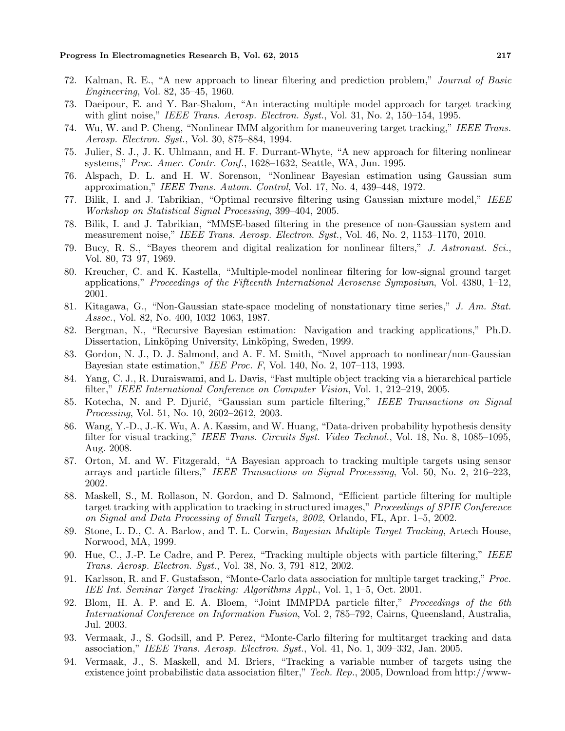- 72. Kalman, R. E., "A new approach to linear filtering and prediction problem," *Journal of Basic Engineering*, Vol. 82, 35–45, 1960.
- 73. Daeipour, E. and Y. Bar-Shalom, "An interacting multiple model approach for target tracking with glint noise," *IEEE Trans. Aerosp. Electron. Syst.*, Vol. 31, No. 2, 150–154, 1995.
- 74. Wu, W. and P. Cheng, "Nonlinear IMM algorithm for maneuvering target tracking," *IEEE Trans. Aerosp. Electron. Syst.*, Vol. 30, 875–884, 1994.
- 75. Julier, S. J., J. K. Uhlmann, and H. F. Durrant-Whyte, "A new approach for filtering nonlinear systems," *Proc. Amer. Contr. Conf.*, 1628–1632, Seattle, WA, Jun. 1995.
- 76. Alspach, D. L. and H. W. Sorenson, "Nonlinear Bayesian estimation using Gaussian sum approximation," *IEEE Trans. Autom. Control*, Vol. 17, No. 4, 439–448, 1972.
- 77. Bilik, I. and J. Tabrikian, "Optimal recursive filtering using Gaussian mixture model," *IEEE Workshop on Statistical Signal Processing*, 399–404, 2005.
- 78. Bilik, I. and J. Tabrikian, "MMSE-based filtering in the presence of non-Gaussian system and measurement noise," *IEEE Trans. Aerosp. Electron. Syst.*, Vol. 46, No. 2, 1153–1170, 2010.
- 79. Bucy, R. S., "Bayes theorem and digital realization for nonlinear filters," *J. Astronaut. Sci.*, Vol. 80, 73–97, 1969.
- 80. Kreucher, C. and K. Kastella, "Multiple-model nonlinear filtering for low-signal ground target applications," *Proceedings of the Fifteenth International Aerosense Symposium*, Vol. 4380, 1–12, 2001.
- 81. Kitagawa, G., "Non-Gaussian state-space modeling of nonstationary time series," *J. Am. Stat. Assoc.*, Vol. 82, No. 400, 1032–1063, 1987.
- 82. Bergman, N., "Recursive Bayesian estimation: Navigation and tracking applications," Ph.D. Dissertation, Linköping University, Linköping, Sweden, 1999.
- 83. Gordon, N. J., D. J. Salmond, and A. F. M. Smith, "Novel approach to nonlinear/non-Gaussian Bayesian state estimation," *IEE Proc. F*, Vol. 140, No. 2, 107–113, 1993.
- 84. Yang, C. J., R. Duraiswami, and L. Davis, "Fast multiple object tracking via a hierarchical particle filter," *IEEE International Conference on Computer Vision*, Vol. 1, 212–219, 2005.
- 85. Kotecha, N. and P. Djuri´c, "Gaussian sum particle filtering," *IEEE Transactions on Signal Processing*, Vol. 51, No. 10, 2602–2612, 2003.
- 86. Wang, Y.-D., J.-K. Wu, A. A. Kassim, and W. Huang, "Data-driven probability hypothesis density filter for visual tracking," *IEEE Trans. Circuits Syst. Video Technol.*, Vol. 18, No. 8, 1085–1095, Aug. 2008.
- 87. Orton, M. and W. Fitzgerald, "A Bayesian approach to tracking multiple targets using sensor arrays and particle filters," *IEEE Transactions on Signal Processing*, Vol. 50, No. 2, 216–223, 2002.
- 88. Maskell, S., M. Rollason, N. Gordon, and D. Salmond, "Efficient particle filtering for multiple target tracking with application to tracking in structured images," *Proceedings of SPIE Conference on Signal and Data Processing of Small Targets, 2002*, Orlando, FL, Apr. 1–5, 2002.
- 89. Stone, L. D., C. A. Barlow, and T. L. Corwin, *Bayesian Multiple Target Tracking*, Artech House, Norwood, MA, 1999.
- 90. Hue, C., J.-P. Le Cadre, and P. Perez, "Tracking multiple objects with particle filtering," *IEEE Trans. Aerosp. Electron. Syst.*, Vol. 38, No. 3, 791–812, 2002.
- 91. Karlsson, R. and F. Gustafsson, "Monte-Carlo data association for multiple target tracking," *Proc. IEE Int. Seminar Target Tracking: Algorithms Appl.*, Vol. 1, 1–5, Oct. 2001.
- 92. Blom, H. A. P. and E. A. Bloem, "Joint IMMPDA particle filter," *Proceedings of the 6th International Conference on Information Fusion*, Vol. 2, 785–792, Cairns, Queensland, Australia, Jul. 2003.
- 93. Vermaak, J., S. Godsill, and P. Perez, "Monte-Carlo filtering for multitarget tracking and data association," *IEEE Trans. Aerosp. Electron. Syst.*, Vol. 41, No. 1, 309–332, Jan. 2005.
- 94. Vermaak, J., S. Maskell, and M. Briers, "Tracking a variable number of targets using the existence joint probabilistic data association filter," *Tech. Rep.*, 2005, Download from http://www-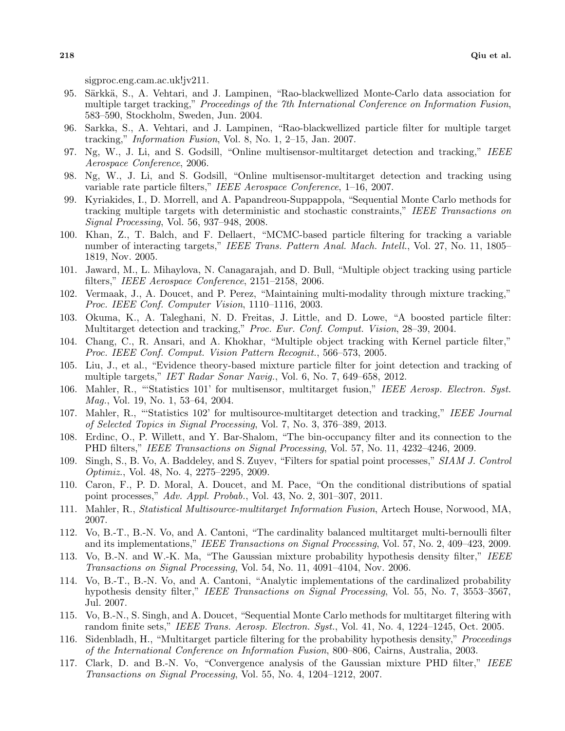sigproc.eng.cam.ac.uk!jv211.

- 95. Särkkä, S., A. Vehtari, and J. Lampinen, "Rao-blackwellized Monte-Carlo data association for multiple target tracking," *Proceedings of the 7th International Conference on Information Fusion*, 583–590, Stockholm, Sweden, Jun. 2004.
- 96. Sarkka, S., A. Vehtari, and J. Lampinen, "Rao-blackwellized particle filter for multiple target tracking," *Information Fusion*, Vol. 8, No. 1, 2–15, Jan. 2007.
- 97. Ng, W., J. Li, and S. Godsill, "Online multisensor-multitarget detection and tracking," *IEEE Aerospace Conference*, 2006.
- 98. Ng, W., J. Li, and S. Godsill, "Online multisensor-multitarget detection and tracking using variable rate particle filters," *IEEE Aerospace Conference*, 1–16, 2007.
- 99. Kyriakides, I., D. Morrell, and A. Papandreou-Suppappola, "Sequential Monte Carlo methods for tracking multiple targets with deterministic and stochastic constraints," *IEEE Transactions on Signal Processing*, Vol. 56, 937–948, 2008.
- 100. Khan, Z., T. Balch, and F. Dellaert, "MCMC-based particle filtering for tracking a variable number of interacting targets," *IEEE Trans. Pattern Anal. Mach. Intell.*, Vol. 27, No. 11, 1805– 1819, Nov. 2005.
- 101. Jaward, M., L. Mihaylova, N. Canagarajah, and D. Bull, "Multiple object tracking using particle filters," *IEEE Aerospace Conference*, 2151–2158, 2006.
- 102. Vermaak, J., A. Doucet, and P. Perez, "Maintaining multi-modality through mixture tracking," *Proc. IEEE Conf. Computer Vision*, 1110–1116, 2003.
- 103. Okuma, K., A. Taleghani, N. D. Freitas, J. Little, and D. Lowe, "A boosted particle filter: Multitarget detection and tracking," *Proc. Eur. Conf. Comput. Vision*, 28–39, 2004.
- 104. Chang, C., R. Ansari, and A. Khokhar, "Multiple object tracking with Kernel particle filter," *Proc. IEEE Conf. Comput. Vision Pattern Recognit.*, 566–573, 2005.
- 105. Liu, J., et al., "Evidence theory-based mixture particle filter for joint detection and tracking of multiple targets," *IET Radar Sonar Navig.*, Vol. 6, No. 7, 649–658, 2012.
- 106. Mahler, R., "'Statistics 101' for multisensor, multitarget fusion," *IEEE Aerosp. Electron. Syst. Mag.*, Vol. 19, No. 1, 53–64, 2004.
- 107. Mahler, R., "'Statistics 102' for multisource-multitarget detection and tracking," *IEEE Journal of Selected Topics in Signal Processing*, Vol. 7, No. 3, 376–389, 2013.
- 108. Erdinc, O., P. Willett, and Y. Bar-Shalom, "The bin-occupancy filter and its connection to the PHD filters," *IEEE Transactions on Signal Processing*, Vol. 57, No. 11, 4232–4246, 2009.
- 109. Singh, S., B. Vo, A. Baddeley, and S. Zuyev, "Filters for spatial point processes," *SIAM J. Control Optimiz.*, Vol. 48, No. 4, 2275–2295, 2009.
- 110. Caron, F., P. D. Moral, A. Doucet, and M. Pace, "On the conditional distributions of spatial point processes," *Adv. Appl. Probab.*, Vol. 43, No. 2, 301–307, 2011.
- 111. Mahler, R., *Statistical Multisource-multitarget Information Fusion*, Artech House, Norwood, MA, 2007.
- 112. Vo, B.-T., B.-N. Vo, and A. Cantoni, "The cardinality balanced multitarget multi-bernoulli filter and its implementations," *IEEE Transactions on Signal Processing*, Vol. 57, No. 2, 409–423, 2009.
- 113. Vo, B.-N. and W.-K. Ma, "The Gaussian mixture probability hypothesis density filter," *IEEE Transactions on Signal Processing*, Vol. 54, No. 11, 4091–4104, Nov. 2006.
- 114. Vo, B.-T., B.-N. Vo, and A. Cantoni, "Analytic implementations of the cardinalized probability hypothesis density filter," *IEEE Transactions on Signal Processing*, Vol. 55, No. 7, 3553–3567, Jul. 2007.
- 115. Vo, B.-N., S. Singh, and A. Doucet, "Sequential Monte Carlo methods for multitarget filtering with random finite sets," *IEEE Trans. Aerosp. Electron. Syst.*, Vol. 41, No. 4, 1224–1245, Oct. 2005.
- 116. Sidenbladh, H., "Multitarget particle filtering for the probability hypothesis density," *Proceedings of the International Conference on Information Fusion*, 800–806, Cairns, Australia, 2003.
- 117. Clark, D. and B.-N. Vo, "Convergence analysis of the Gaussian mixture PHD filter," *IEEE Transactions on Signal Processing*, Vol. 55, No. 4, 1204–1212, 2007.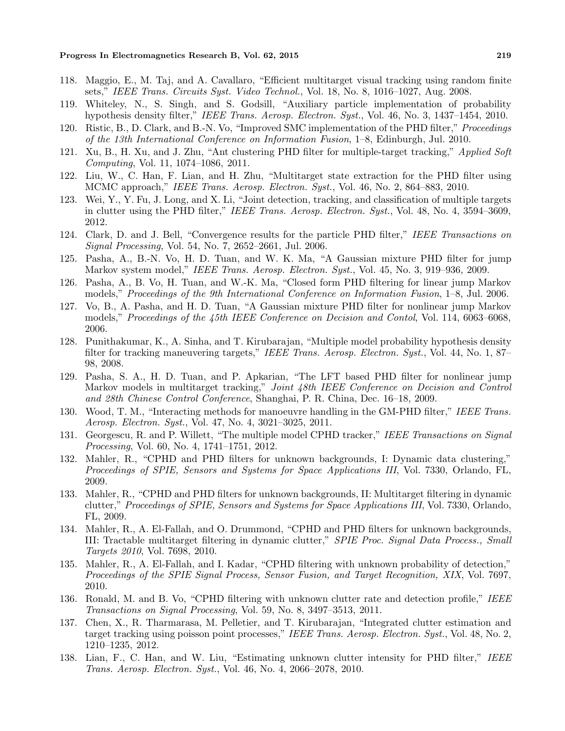- 118. Maggio, E., M. Taj, and A. Cavallaro, "Efficient multitarget visual tracking using random finite sets," *IEEE Trans. Circuits Syst. Video Technol.*, Vol. 18, No. 8, 1016–1027, Aug. 2008.
- 119. Whiteley, N., S. Singh, and S. Godsill, "Auxiliary particle implementation of probability hypothesis density filter," *IEEE Trans. Aerosp. Electron. Syst.*, Vol. 46, No. 3, 1437–1454, 2010.
- 120. Ristic, B., D. Clark, and B.-N. Vo, "Improved SMC implementation of the PHD filter," *Proceedings of the 13th International Conference on Information Fusion*, 1–8, Edinburgh, Jul. 2010.
- 121. Xu, B., H. Xu, and J. Zhu, "Ant clustering PHD filter for multiple-target tracking," *Applied Soft Computing*, Vol. 11, 1074–1086, 2011.
- 122. Liu, W., C. Han, F. Lian, and H. Zhu, "Multitarget state extraction for the PHD filter using MCMC approach," *IEEE Trans. Aerosp. Electron. Syst.*, Vol. 46, No. 2, 864–883, 2010.
- 123. Wei, Y., Y. Fu, J. Long, and X. Li, "Joint detection, tracking, and classification of multiple targets in clutter using the PHD filter," *IEEE Trans. Aerosp. Electron. Syst.*, Vol. 48, No. 4, 3594–3609, 2012.
- 124. Clark, D. and J. Bell, "Convergence results for the particle PHD filter," *IEEE Transactions on Signal Processing*, Vol. 54, No. 7, 2652–2661, Jul. 2006.
- 125. Pasha, A., B.-N. Vo, H. D. Tuan, and W. K. Ma, "A Gaussian mixture PHD filter for jump Markov system model," *IEEE Trans. Aerosp. Electron. Syst.*, Vol. 45, No. 3, 919–936, 2009.
- 126. Pasha, A., B. Vo, H. Tuan, and W.-K. Ma, "Closed form PHD filtering for linear jump Markov models," *Proceedings of the 9th International Conference on Information Fusion*, 1–8, Jul. 2006.
- 127. Vo, B., A. Pasha, and H. D. Tuan, "A Gaussian mixture PHD filter for nonlinear jump Markov models," *Proceedings of the 45th IEEE Conference on Decision and Contol*, Vol. 114, 6063–6068, 2006.
- 128. Punithakumar, K., A. Sinha, and T. Kirubarajan, "Multiple model probability hypothesis density filter for tracking maneuvering targets," *IEEE Trans. Aerosp. Electron. Syst.*, Vol. 44, No. 1, 87– 98, 2008.
- 129. Pasha, S. A., H. D. Tuan, and P. Apkarian, "The LFT based PHD filter for nonlinear jump Markov models in multitarget tracking," *Joint 48th IEEE Conference on Decision and Control and 28th Chinese Control Conference*, Shanghai, P. R. China, Dec. 16–18, 2009.
- 130. Wood, T. M., "Interacting methods for manoeuvre handling in the GM-PHD filter," *IEEE Trans. Aerosp. Electron. Syst.*, Vol. 47, No. 4, 3021–3025, 2011.
- 131. Georgescu, R. and P. Willett, "The multiple model CPHD tracker," *IEEE Transactions on Signal Processing*, Vol. 60, No. 4, 1741–1751, 2012.
- 132. Mahler, R., "CPHD and PHD filters for unknown backgrounds, I: Dynamic data clustering," *Proceedings of SPIE, Sensors and Systems for Space Applications III*, Vol. 7330, Orlando, FL, 2009.
- 133. Mahler, R., "CPHD and PHD filters for unknown backgrounds, II: Multitarget filtering in dynamic clutter," *Proceedings of SPIE, Sensors and Systems for Space Applications III*, Vol. 7330, Orlando, FL, 2009.
- 134. Mahler, R., A. El-Fallah, and O. Drummond, "CPHD and PHD filters for unknown backgrounds, III: Tractable multitarget filtering in dynamic clutter," *SPIE Proc. Signal Data Process., Small Targets 2010*, Vol. 7698, 2010.
- 135. Mahler, R., A. El-Fallah, and I. Kadar, "CPHD filtering with unknown probability of detection," *Proceedings of the SPIE Signal Process, Sensor Fusion, and Target Recognition, XIX*, Vol. 7697, 2010.
- 136. Ronald, M. and B. Vo, "CPHD filtering with unknown clutter rate and detection profile," *IEEE Transactions on Signal Processing*, Vol. 59, No. 8, 3497–3513, 2011.
- 137. Chen, X., R. Tharmarasa, M. Pelletier, and T. Kirubarajan, "Integrated clutter estimation and target tracking using poisson point processes," *IEEE Trans. Aerosp. Electron. Syst.*, Vol. 48, No. 2, 1210–1235, 2012.
- 138. Lian, F., C. Han, and W. Liu, "Estimating unknown clutter intensity for PHD filter," *IEEE Trans. Aerosp. Electron. Syst.*, Vol. 46, No. 4, 2066–2078, 2010.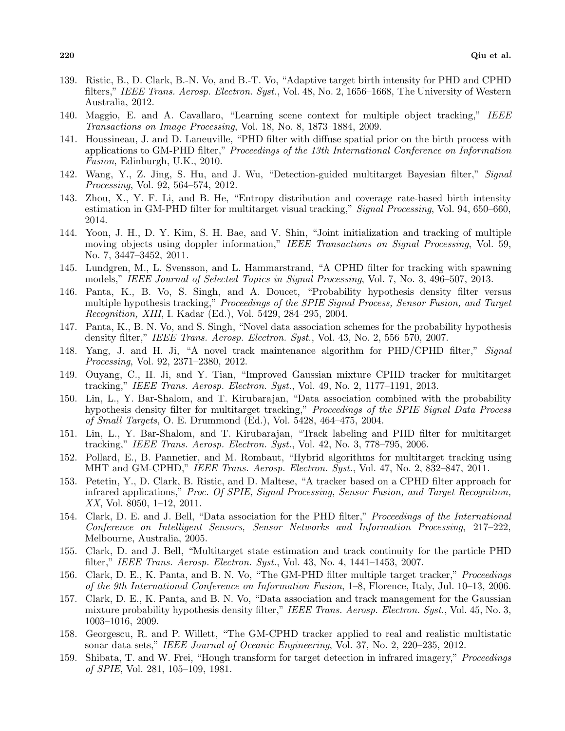- 139. Ristic, B., D. Clark, B.-N. Vo, and B.-T. Vo, "Adaptive target birth intensity for PHD and CPHD filters," *IEEE Trans. Aerosp. Electron. Syst.*, Vol. 48, No. 2, 1656–1668, The University of Western Australia, 2012.
- 140. Maggio, E. and A. Cavallaro, "Learning scene context for multiple object tracking," *IEEE Transactions on Image Processing*, Vol. 18, No. 8, 1873–1884, 2009.
- 141. Houssineau, J. and D. Laneuville, "PHD filter with diffuse spatial prior on the birth process with applications to GM-PHD filter," *Proceedings of the 13th International Conference on Information Fusion*, Edinburgh, U.K., 2010.
- 142. Wang, Y., Z. Jing, S. Hu, and J. Wu, "Detection-guided multitarget Bayesian filter," *Signal Processing*, Vol. 92, 564–574, 2012.
- 143. Zhou, X., Y. F. Li, and B. He, "Entropy distribution and coverage rate-based birth intensity estimation in GM-PHD filter for multitarget visual tracking," *Signal Processing*, Vol. 94, 650–660, 2014.
- 144. Yoon, J. H., D. Y. Kim, S. H. Bae, and V. Shin, "Joint initialization and tracking of multiple moving objects using doppler information," *IEEE Transactions on Signal Processing*, Vol. 59, No. 7, 3447–3452, 2011.
- 145. Lundgren, M., L. Svensson, and L. Hammarstrand, "A CPHD filter for tracking with spawning models," *IEEE Journal of Selected Topics in Signal Processing*, Vol. 7, No. 3, 496–507, 2013.
- 146. Panta, K., B. Vo, S. Singh, and A. Doucet, "Probability hypothesis density filter versus multiple hypothesis tracking," *Proceedings of the SPIE Signal Process, Sensor Fusion, and Target Recognition, XIII*, I. Kadar (Ed.), Vol. 5429, 284–295, 2004.
- 147. Panta, K., B. N. Vo, and S. Singh, "Novel data association schemes for the probability hypothesis density filter," *IEEE Trans. Aerosp. Electron. Syst.*, Vol. 43, No. 2, 556–570, 2007.
- 148. Yang, J. and H. Ji, "A novel track maintenance algorithm for PHD/CPHD filter," *Signal Processing*, Vol. 92, 2371–2380, 2012.
- 149. Ouyang, C., H. Ji, and Y. Tian, "Improved Gaussian mixture CPHD tracker for multitarget tracking," *IEEE Trans. Aerosp. Electron. Syst.*, Vol. 49, No. 2, 1177–1191, 2013.
- 150. Lin, L., Y. Bar-Shalom, and T. Kirubarajan, "Data association combined with the probability hypothesis density filter for multitarget tracking," *Proceedings of the SPIE Signal Data Process of Small Targets*, O. E. Drummond (Ed.), Vol. 5428, 464–475, 2004.
- 151. Lin, L., Y. Bar-Shalom, and T. Kirubarajan, "Track labeling and PHD filter for multitarget tracking," *IEEE Trans. Aerosp. Electron. Syst.*, Vol. 42, No. 3, 778–795, 2006.
- 152. Pollard, E., B. Pannetier, and M. Rombaut, "Hybrid algorithms for multitarget tracking using MHT and GM-CPHD," *IEEE Trans. Aerosp. Electron. Syst.*, Vol. 47, No. 2, 832–847, 2011.
- 153. Petetin, Y., D. Clark, B. Ristic, and D. Maltese, "A tracker based on a CPHD filter approach for infrared applications," *Proc. Of SPIE, Signal Processing, Sensor Fusion, and Target Recognition, XX*, Vol. 8050, 1–12, 2011.
- 154. Clark, D. E. and J. Bell, "Data association for the PHD filter," *Proceedings of the International Conference on Intelligent Sensors, Sensor Networks and Information Processing*, 217–222, Melbourne, Australia, 2005.
- 155. Clark, D. and J. Bell, "Multitarget state estimation and track continuity for the particle PHD filter," *IEEE Trans. Aerosp. Electron. Syst.*, Vol. 43, No. 4, 1441–1453, 2007.
- 156. Clark, D. E., K. Panta, and B. N. Vo, "The GM-PHD filter multiple target tracker," *Proceedings of the 9th International Conference on Information Fusion*, 1–8, Florence, Italy, Jul. 10–13, 2006.
- 157. Clark, D. E., K. Panta, and B. N. Vo, "Data association and track management for the Gaussian mixture probability hypothesis density filter," *IEEE Trans. Aerosp. Electron. Syst.*, Vol. 45, No. 3, 1003–1016, 2009.
- 158. Georgescu, R. and P. Willett, "The GM-CPHD tracker applied to real and realistic multistatic sonar data sets," *IEEE Journal of Oceanic Engineering*, Vol. 37, No. 2, 220–235, 2012.
- 159. Shibata, T. and W. Frei, "Hough transform for target detection in infrared imagery," *Proceedings of SPIE*, Vol. 281, 105–109, 1981.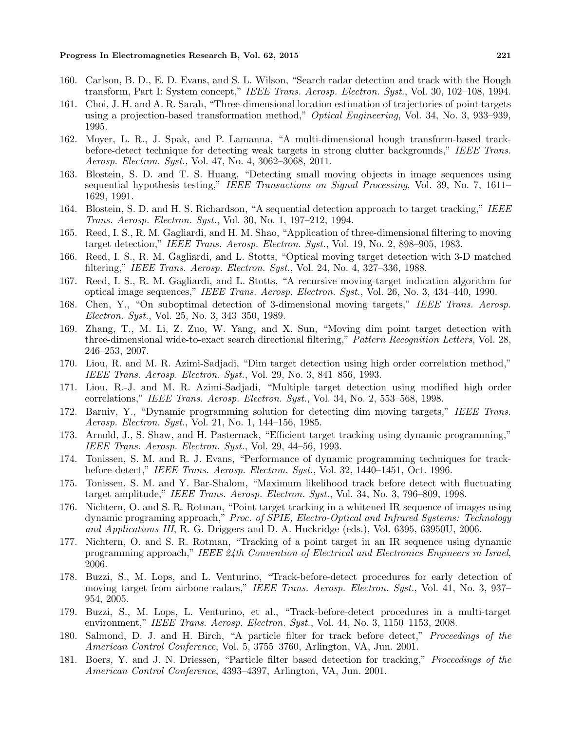- 160. Carlson, B. D., E. D. Evans, and S. L. Wilson, "Search radar detection and track with the Hough transform, Part I: System concept," *IEEE Trans. Aerosp. Electron. Syst.*, Vol. 30, 102–108, 1994.
- 161. Choi, J. H. and A. R. Sarah, "Three-dimensional location estimation of trajectories of point targets using a projection-based transformation method," *Optical Engineering*, Vol. 34, No. 3, 933–939, 1995.
- 162. Moyer, L. R., J. Spak, and P. Lamanna, "A multi-dimensional hough transform-based trackbefore-detect technique for detecting weak targets in strong clutter backgrounds," *IEEE Trans. Aerosp. Electron. Syst.*, Vol. 47, No. 4, 3062–3068, 2011.
- 163. Blostein, S. D. and T. S. Huang, "Detecting small moving objects in image sequences using sequential hypothesis testing," *IEEE Transactions on Signal Processing*, Vol. 39, No. 7, 1611– 1629, 1991.
- 164. Blostein, S. D. and H. S. Richardson, "A sequential detection approach to target tracking," *IEEE Trans. Aerosp. Electron. Syst.*, Vol. 30, No. 1, 197–212, 1994.
- 165. Reed, I. S., R. M. Gagliardi, and H. M. Shao, "Application of three-dimensional filtering to moving target detection," *IEEE Trans. Aerosp. Electron. Syst.*, Vol. 19, No. 2, 898–905, 1983.
- 166. Reed, I. S., R. M. Gagliardi, and L. Stotts, "Optical moving target detection with 3-D matched filtering," *IEEE Trans. Aerosp. Electron. Syst.*, Vol. 24, No. 4, 327–336, 1988.
- 167. Reed, I. S., R. M. Gagliardi, and L. Stotts, "A recursive moving-target indication algorithm for optical image sequences," *IEEE Trans. Aerosp. Electron. Syst.*, Vol. 26, No. 3, 434–440, 1990.
- 168. Chen, Y., "On suboptimal detection of 3-dimensional moving targets," *IEEE Trans. Aerosp. Electron. Syst.*, Vol. 25, No. 3, 343–350, 1989.
- 169. Zhang, T., M. Li, Z. Zuo, W. Yang, and X. Sun, "Moving dim point target detection with three-dimensional wide-to-exact search directional filtering," *Pattern Recognition Letters*, Vol. 28, 246–253, 2007.
- 170. Liou, R. and M. R. Azimi-Sadjadi, "Dim target detection using high order correlation method," *IEEE Trans. Aerosp. Electron. Syst.*, Vol. 29, No. 3, 841–856, 1993.
- 171. Liou, R.-J. and M. R. Azimi-Sadjadi, "Multiple target detection using modified high order correlations," *IEEE Trans. Aerosp. Electron. Syst.*, Vol. 34, No. 2, 553–568, 1998.
- 172. Barniv, Y., "Dynamic programming solution for detecting dim moving targets," *IEEE Trans. Aerosp. Electron. Syst.*, Vol. 21, No. 1, 144–156, 1985.
- 173. Arnold, J., S. Shaw, and H. Pasternack, "Efficient target tracking using dynamic programming," *IEEE Trans. Aerosp. Electron. Syst.*, Vol. 29, 44–56, 1993.
- 174. Tonissen, S. M. and R. J. Evans, "Performance of dynamic programming techniques for trackbefore-detect," *IEEE Trans. Aerosp. Electron. Syst.*, Vol. 32, 1440–1451, Oct. 1996.
- 175. Tonissen, S. M. and Y. Bar-Shalom, "Maximum likelihood track before detect with fluctuating target amplitude," *IEEE Trans. Aerosp. Electron. Syst.*, Vol. 34, No. 3, 796–809, 1998.
- 176. Nichtern, O. and S. R. Rotman, "Point target tracking in a whitened IR sequence of images using dynamic programing approach," *Proc. of SPIE, Electro-Optical and Infrared Systems: Technology and Applications III*, R. G. Driggers and D. A. Huckridge (eds.), Vol. 6395, 63950U, 2006.
- 177. Nichtern, O. and S. R. Rotman, "Tracking of a point target in an IR sequence using dynamic programming approach," *IEEE 24th Convention of Electrical and Electronics Engineers in Israel*, 2006.
- 178. Buzzi, S., M. Lops, and L. Venturino, "Track-before-detect procedures for early detection of moving target from airbone radars," *IEEE Trans. Aerosp. Electron. Syst.*, Vol. 41, No. 3, 937– 954, 2005.
- 179. Buzzi, S., M. Lops, L. Venturino, et al., "Track-before-detect procedures in a multi-target environment," *IEEE Trans. Aerosp. Electron. Syst.*, Vol. 44, No. 3, 1150–1153, 2008.
- 180. Salmond, D. J. and H. Birch, "A particle filter for track before detect," *Proceedings of the American Control Conference*, Vol. 5, 3755–3760, Arlington, VA, Jun. 2001.
- 181. Boers, Y. and J. N. Driessen, "Particle filter based detection for tracking," *Proceedings of the American Control Conference*, 4393–4397, Arlington, VA, Jun. 2001.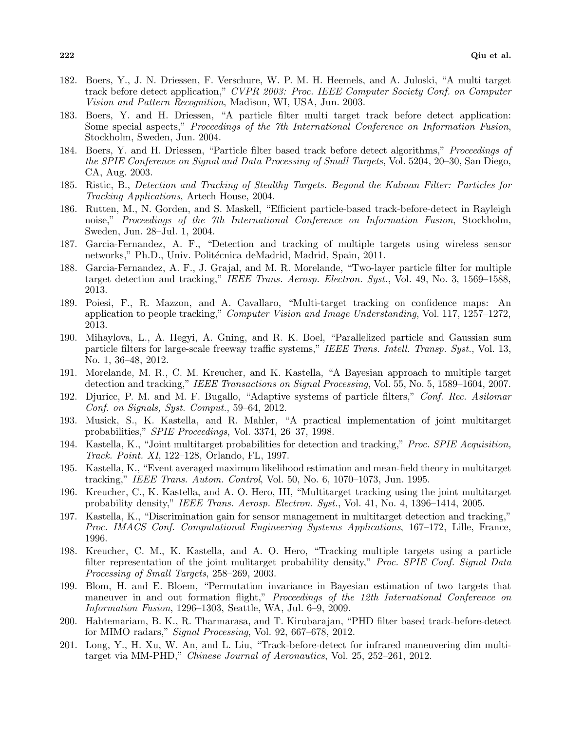- 182. Boers, Y., J. N. Driessen, F. Verschure, W. P. M. H. Heemels, and A. Juloski, "A multi target track before detect application," *CVPR 2003: Proc. IEEE Computer Society Conf. on Computer Vision and Pattern Recognition*, Madison, WI, USA, Jun. 2003.
- 183. Boers, Y. and H. Driessen, "A particle filter multi target track before detect application: Some special aspects," *Proceedings of the 7th International Conference on Information Fusion*, Stockholm, Sweden, Jun. 2004.
- 184. Boers, Y. and H. Driessen, "Particle filter based track before detect algorithms," *Proceedings of the SPIE Conference on Signal and Data Processing of Small Targets*, Vol. 5204, 20–30, San Diego, CA, Aug. 2003.
- 185. Ristic, B., *Detection and Tracking of Stealthy Targets. Beyond the Kalman Filter: Particles for Tracking Applications*, Artech House, 2004.
- 186. Rutten, M., N. Gorden, and S. Maskell, "Efficient particle-based track-before-detect in Rayleigh noise," *Proceedings of the 7th International Conference on Information Fusion*, Stockholm, Sweden, Jun. 28–Jul. 1, 2004.
- 187. Garcia-Fernandez, A. F., "Detection and tracking of multiple targets using wireless sensor networks," Ph.D., Univ. Politécnica deMadrid, Madrid, Spain, 2011.
- 188. Garcia-Fernandez, A. F., J. Grajal, and M. R. Morelande, "Two-layer particle filter for multiple target detection and tracking," *IEEE Trans. Aerosp. Electron. Syst.*, Vol. 49, No. 3, 1569–1588, 2013.
- 189. Poiesi, F., R. Mazzon, and A. Cavallaro, "Multi-target tracking on confidence maps: An application to people tracking," *Computer Vision and Image Understanding*, Vol. 117, 1257–1272, 2013.
- 190. Mihaylova, L., A. Hegyi, A. Gning, and R. K. Boel, "Parallelized particle and Gaussian sum particle filters for large-scale freeway traffic systems," *IEEE Trans. Intell. Transp. Syst.*, Vol. 13, No. 1, 36–48, 2012.
- 191. Morelande, M. R., C. M. Kreucher, and K. Kastella, "A Bayesian approach to multiple target detection and tracking," *IEEE Transactions on Signal Processing*, Vol. 55, No. 5, 1589–1604, 2007.
- 192. Djuricc, P. M. and M. F. Bugallo, "Adaptive systems of particle filters," *Conf. Rec. Asilomar Conf. on Signals, Syst. Comput.*, 59–64, 2012.
- 193. Musick, S., K. Kastella, and R. Mahler, "A practical implementation of joint multitarget probabilities," *SPIE Proceedings*, Vol. 3374, 26–37, 1998.
- 194. Kastella, K., "Joint multitarget probabilities for detection and tracking," *Proc. SPIE Acquisition, Track. Point. XI*, 122–128, Orlando, FL, 1997.
- 195. Kastella, K., "Event averaged maximum likelihood estimation and mean-field theory in multitarget tracking," *IEEE Trans. Autom. Control*, Vol. 50, No. 6, 1070–1073, Jun. 1995.
- 196. Kreucher, C., K. Kastella, and A. O. Hero, III, "Multitarget tracking using the joint multitarget probability density," *IEEE Trans. Aerosp. Electron. Syst.*, Vol. 41, No. 4, 1396–1414, 2005.
- 197. Kastella, K., "Discrimination gain for sensor management in multitarget detection and tracking," *Proc. IMACS Conf. Computational Engineering Systems Applications*, 167–172, Lille, France, 1996.
- 198. Kreucher, C. M., K. Kastella, and A. O. Hero, "Tracking multiple targets using a particle filter representation of the joint mulitarget probability density," *Proc. SPIE Conf. Signal Data Processing of Small Targets*, 258–269, 2003.
- 199. Blom, H. and E. Bloem, "Permutation invariance in Bayesian estimation of two targets that maneuver in and out formation flight," *Proceedings of the 12th International Conference on Information Fusion*, 1296–1303, Seattle, WA, Jul. 6–9, 2009.
- 200. Habtemariam, B. K., R. Tharmarasa, and T. Kirubarajan, "PHD filter based track-before-detect for MIMO radars," *Signal Processing*, Vol. 92, 667–678, 2012.
- 201. Long, Y., H. Xu, W. An, and L. Liu, "Track-before-detect for infrared maneuvering dim multitarget via MM-PHD," *Chinese Journal of Aeronautics*, Vol. 25, 252–261, 2012.